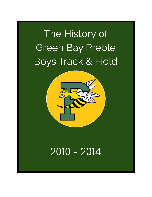## The History of Green Bay Preble Boys Track & Field



## 2010 - 2014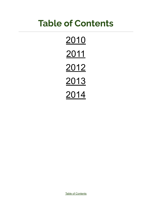## <span id="page-1-0"></span>**Table of Contents**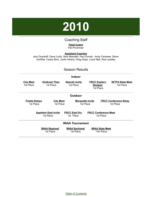

#### Coaching Staff

#### **Head Coach** Pat Prochnow

<span id="page-2-0"></span>**Assistant Coaches** Jack Drankoff, Dave Loritz, Nick Marcelle, Paul Donart, Andy Fameree, Steve VanRite, Casey Bins, Justin Hearly, Greg Hopp, Lloyd Nell, Rod Leadley

| <b>Season Results</b>                                                                                                      |                                   |                                    |                                                     |                                           |  |
|----------------------------------------------------------------------------------------------------------------------------|-----------------------------------|------------------------------------|-----------------------------------------------------|-------------------------------------------|--|
|                                                                                                                            |                                   | <b>Indoor</b>                      |                                                     |                                           |  |
| <b>City Meet</b><br>1st Place                                                                                              | <u>Oshkosh Titan</u><br>1st Place | <b>Neenah Invite</b><br>1st Place  | <b>FRCC Eastern</b><br><b>Division</b><br>1st Place | <b>W/TFA State Meet</b><br>1st Place      |  |
|                                                                                                                            | <b>Outdoor</b>                    |                                    |                                                     |                                           |  |
| <b>Preble Relays</b><br>1st Place                                                                                          | <b>City Meet</b><br>1st Place     | <b>Marquette Invite</b>            | 1st Place                                           | <b>FRCC Conference Relay</b><br>1st Place |  |
| <b>FRCC East Div.</b><br><b>FRCC Conference Meet</b><br><b>Appleton East Invite</b><br>1st Place<br>1st Place<br>1st Place |                                   |                                    |                                                     |                                           |  |
| <b>WIAA Tournament</b>                                                                                                     |                                   |                                    |                                                     |                                           |  |
|                                                                                                                            | <b>WIAA Regional</b><br>1st Place | <b>WIAA Sectional</b><br>1st Place | <b>WIAA State Meet</b><br>11th Place                |                                           |  |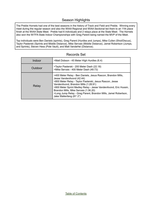#### Season Highlights

The Preble Hornets had one of the best seasons in the history of Track and Field and Preble. Winning every meet during the regular season and also the WIAA Regional and WIAA Sectional led them to an 11th place finish at the WIAA State Meet. Preble had 6 individuals and 2 relays place at the State Meet. The Hornets also won the W/TFA State Indoor Championships with Greg Parent being named the MVP of the Meet.

Top individuals were Ben Daniels (sprints), Greg Parent (Hurdles and Jumps), Mike Cullen (Shot/Discus), Taylor Pasterski (Sprints and Middle Distance), Mike Servais (Middle Distance), Jamel Robertson (Jumps, and Sprints), Steven Hess (Pole Vault), and Matt VandeHei (Distance).

| Indoor  | >Matt Dobson - 45 Meter High Hurdles (6.4)                                                                                                                                                                                                                                                                                                                                                                |
|---------|-----------------------------------------------------------------------------------------------------------------------------------------------------------------------------------------------------------------------------------------------------------------------------------------------------------------------------------------------------------------------------------------------------------|
| Outdoor | >Taylor Pasterski - 200 Meter Dash (22.18)<br>>Mike Servais - 400 Meter Dash (49.73)                                                                                                                                                                                                                                                                                                                      |
| Relay   | >400 Meter Relay - Ben Daniels, Jesus Rascon, Brandon Mills,<br>Jesse VandenAvond (42.44)<br>>800 Meter Relay - Taylor Pasterski, Jesus Rascon, Jesse<br>VandenAvond, Brandon Mills (1:28.91)<br>>800 Meter Sprint Medley Relay - Jesse VandenAvond, Eric Hussin,<br>Brandon Mills, Mike Servais (1:36.20)<br>>Long Jump Relay - Greg Parent, Brandon Mills, Jamel Robertson,<br>Jake Wallenfang (81' 2") |

#### Records Set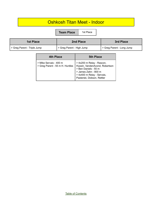### Oshkosh Titan Meet - Indoor

**Team Place** | 1st Place

| <b>1st Place</b>           | 2nd Place                 | 3rd Place                 |
|----------------------------|---------------------------|---------------------------|
| Soles Parent - Triple Jump | > Greg Parent - High Jump | > Greg Parent - Long Jump |

| 4th Place                                                 | <b>5th Place</b>                                                                                                                                                        |
|-----------------------------------------------------------|-------------------------------------------------------------------------------------------------------------------------------------------------------------------------|
| > Mike Servais - 400 m<br>> Greg Parent - 55 m H. Hurdles | > 4x200 m Relay - Rascon,<br>Hussin, VandenAvond, Robertson<br>> Ben Daniels - 55 m<br>> James Zahn - 800 m<br>> 4x400 m Relay - Servais,<br>Pasterski, Dobson, Rettler |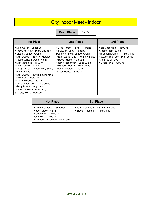## City Indoor Meet - Indoor

**Team Place** | 1st Place

| <b>1st Place</b>                                                                                                                                                                                                                                                                                                                                                                                                                                                              | 2nd Place                                                                                                                                                                                                                                                                           | 3rd Place                                                                                                                                                         |
|-------------------------------------------------------------------------------------------------------------------------------------------------------------------------------------------------------------------------------------------------------------------------------------------------------------------------------------------------------------------------------------------------------------------------------------------------------------------------------|-------------------------------------------------------------------------------------------------------------------------------------------------------------------------------------------------------------------------------------------------------------------------------------|-------------------------------------------------------------------------------------------------------------------------------------------------------------------|
| >Mike Cullen - Shot Put<br>>4x800 m Relay - Pfaff, McCabe,<br>Molzahn, VandenAvond<br>>Matt Dobson - 45 m H. Hurdles<br>>Jesse VandenAvond - 45 m<br>>Matt VandeHei - 1600 m<br>>Mike Servais - 400 m<br>>4 Lap - Hussin, Robertson, Seidl,<br>VandenAvond<br>>Matt Dobson - 176 m Int. Hurdles<br>>Mike Keim - Pole Vault<br>>Kieran McCabe - 80 0m<br>>Jamel Robertson - Triple Jump<br>>Greg Parent - Long Jump<br>>4x400 m Relay - Pasterski,<br>Servais, Rettler, Dobson | >Greg Parent - 45 m H. Hurdles<br>>4x200 m Relay - Hussin,<br>Pasterski, Seidl, VandenAvond<br>>Zach Wallenfang - 176 Int Hurdles<br>>Steven Hess - Pole Vault<br>>Jamel Robertson - Long Jump<br>>Brandon Morgan - High Jump<br>>Taylor Pasterski - 200 m<br>> Josh Haase - 3200 m | >lan Mosbrucker - 1600 m<br>>Jesse Pfaff - 800 m<br>>Brandon MOrgan - Triple Jump<br>>Steven Thomson - High Jump<br>>John Seidl - 200 m<br>> Brian Janis - 3200 m |

| 4th Place                                                                                                                                | <b>5th Place</b>                                                      |
|------------------------------------------------------------------------------------------------------------------------------------------|-----------------------------------------------------------------------|
| > Drew Schneider - Shot Put<br>> Joe Turbett - 45 m<br>> Chase King - 1600 m<br>>Jim Rettler - 400 m<br>> Michael Verheyden - Pole Vault | > Zach Wallenfang - 45 m H. Hurdles<br>> Steven Thomson - Triple Jump |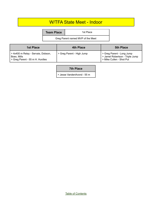#### W/TFA State Meet - Indoor

**Team Place** 2 1st Place

Greg Parent named MVP of the Meet

| 1st Place                                                                             | 4th Place                 | <b>5th Place</b>                                                                         |
|---------------------------------------------------------------------------------------|---------------------------|------------------------------------------------------------------------------------------|
| > 4x400 m Relay - Servais, Dobson,<br>Boex, Mills<br>So Greg Parent - 55 m H. Hurdles | > Greg Parent - High Jump | > Greg Parent - Long Jump<br>> Jamel Robertson - Triple Jump<br>> Mike Cullen - Shot Put |

#### **7th Place**

> Jesse VandenAvond - 55 m

Table of [Contents](#page-1-0)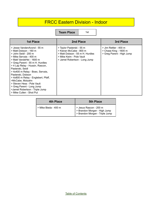### FRCC Eastern Division - Indoor

**Team Place** 1st

| <b>1st Place</b>                                                                                                                                                                                                                                                                                                                                                                                                                                                         | <b>2nd Place</b>                                                                                                                                     | 3rd Place                                                                     |
|--------------------------------------------------------------------------------------------------------------------------------------------------------------------------------------------------------------------------------------------------------------------------------------------------------------------------------------------------------------------------------------------------------------------------------------------------------------------------|------------------------------------------------------------------------------------------------------------------------------------------------------|-------------------------------------------------------------------------------|
| > Jesse VandenAvond - 55 m<br>> Matt Dobson - 160 m<br>> John Seidl - 200 m<br>> Mike Servais - 400 m<br>> Matt VandeHei - 1600 m<br>> Greg Parent - 55 m H. Hurdles<br>> 4 Lap Relay - Hussin, Rascon,<br>Pasterski, Seidl<br>> 4x400 m Relay - Boex, Servais,<br>Pasterski, Dobson<br>> 4x800 m Relay - Englebert, Pfaff,<br>>McCabe, Molzahn<br>> Steven Hess - Pole Vault<br>> Greg Parent - Long Jump<br>>Jamel Robertson - Triple Jump<br>> Mike Cullen - Shot Put | > Taylor Pasterski - 55 m<br>> Kieran McCabe - 800 m<br>> Matt Dobson - 55 m H. Hurdles<br>> Mike Keim - Pole Vault<br>> Jamel Robertson - Long Jump | $>$ Jim Rettler - 400 m<br>> Chase King - 1600 m<br>> Greg Parent - High Jump |

| 4th Place            | <b>5th Place</b>                                                                         |
|----------------------|------------------------------------------------------------------------------------------|
| > Mike Bieda - 400 m | > Jesus Rascon - 200 m<br>> Brandon Morgan - High Jump<br>> Brandon Morgan - Triple Jump |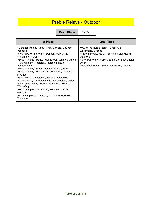## Preble Relays - Outdoor

**Team Place** 1st

| <b>1st Place</b>                                                                                                                                                                                                                                                                                                                                                                                                                                                                                                                                                                                                                                                     | 2nd Place                                                                                                                                                                                                                                |
|----------------------------------------------------------------------------------------------------------------------------------------------------------------------------------------------------------------------------------------------------------------------------------------------------------------------------------------------------------------------------------------------------------------------------------------------------------------------------------------------------------------------------------------------------------------------------------------------------------------------------------------------------------------------|------------------------------------------------------------------------------------------------------------------------------------------------------------------------------------------------------------------------------------------|
| >Distance Medley Relay - Pfaff, Servais, McCabe,<br>VandeHei<br>>440 m H. Hurdle Relay - Dobson, Morgan, Z.<br>Wallenfang, Parent<br>>6400 m Relay - Haase, Mostrucker, Schimek, Janus<br>>400 m Relay - Pasterski, Rascon, Mills, J.<br>VandenAvond<br>>1600 m Relay - Bieda, Dobson, Rattler, Boex<br>>3200 m Relay - Pfaff, B. VandenAvond, Matheson,<br>McCabe<br>>800 m Relay - Pasterski, Rascon, Seidl, Mills<br>>Discus Relay - Anderson, Olson, Schneider, Cullen<br>>Long Jump Relay - Parent, Robertson, Mills, J.<br>Wallenfang<br>>Triple Jump Relay - Parent, Robertson, Smits,<br>Morgan<br>>High Jump Relay - Parent, Morgan, Boockmeier,<br>Thomson | >900 m Int. Hurdle Relay - Dobson, Z.<br>Wallenfang, Doering<br>>1600 m Medley Relay - Servais, Seidl, Hussin,<br>VandeHei<br>>Shot Put Relay - Cullen, Schneider, Boockmeier,<br>Olson<br>>Pole Vault Relay - Smits, Verheyden, Tlachac |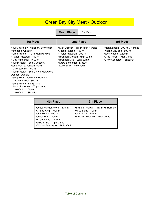## Green Bay City Meet - Outdoor

**Team Place** | 1st Place

| <b>1st Place</b>                                                                                                                                                                                                                                                                                                                                                                                                                                                                       | 2nd Place                                                                                                                                                                                                    | 3rd Place                                                                                                                                   |
|----------------------------------------------------------------------------------------------------------------------------------------------------------------------------------------------------------------------------------------------------------------------------------------------------------------------------------------------------------------------------------------------------------------------------------------------------------------------------------------|--------------------------------------------------------------------------------------------------------------------------------------------------------------------------------------------------------------|---------------------------------------------------------------------------------------------------------------------------------------------|
| >3200 m Relay - Molzahn, Schneider,<br>Matheson, Gauger<br>>Greg Parent - 110 m High Hurdles<br>>Taylor Pasterski - 100 m<br>>Matt VandeHei - 1600 m<br>>800 m Relay - Seidl, Dobson,<br>Robertson, J. VandenAvond<br>>Mike Servais - 400 m<br>>400 m Relay - Seidl, J. VandenAvond,<br>Dobson, Daniels<br>>Greg Boex - 300 m Int. Hurdles<br>>Matt VandeHei - 800 m<br>>Greg Parent - Long Jump<br>>Jamel Robertson - Triple Jump<br>>Mike Cullen - Discus<br>>Mike Cullen - Shot Put | >Matt Dobson - 110 m High Hurdles<br>>Jesus Rascon - 100 m<br>>Taylor Pasterski - 200 m<br>>Brandon Morgan - High Jump<br>>Brandon Mills - Long Jump<br>>Drew Schneider - Discus<br>>Luke Smits - Pole Vault | >Matt Dobson - 300 m I. Hurdles<br>>Kieran McCabe - 800 m<br>>Josh Haase - 3200 m<br>>Greg Parent - High Jump<br>>Drew Schneider - Shot Put |

| <b>4th Place</b>                                                                                                                                                                            | <b>5th Place</b>                                                                                                 |
|---------------------------------------------------------------------------------------------------------------------------------------------------------------------------------------------|------------------------------------------------------------------------------------------------------------------|
| >Jesse VandenAvond - 100 m<br>>Chase King - 1600 m<br>>Jim Rettler - 400 m<br>>Jesse Pfaff - 800 m<br>>Brian Janus - 3200 m<br>>Luke Smits - Triple Jump<br>>Michael Verhayden - Pole Vault | >Brandon Morgan - 110 m H. Hurdles<br>>Mike Bieda - 400 m<br>>John Seidl - 200 m<br>>Stephan Thomson - High Jump |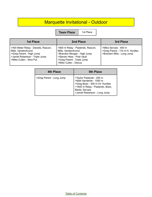## Marquette Invitational - Outdoor

**Team Place** 1st Place

| <b>1st Place</b>                                                                                                                                   | 2nd Place                                                                                                                                                                  | 3rd Place                                                                              |
|----------------------------------------------------------------------------------------------------------------------------------------------------|----------------------------------------------------------------------------------------------------------------------------------------------------------------------------|----------------------------------------------------------------------------------------|
| >400 Meter Relay - Daniels, Rascon,<br>Mills, VandenAvond<br>>Greg Parent - High Jump<br>>Jamel Robertson - Triple Jump<br>>Mike Cullen - Shot Put | >800 m Relay - Pasterski, Rascon,<br>Mills, VandenAvond<br>>Brandon Morgan - High Jump<br>>Steven Hess - Pole Vault<br>>Greg Parent - Triple Jump<br>>Mike Cullen - Discus | >Mike Servais - 400 m<br>>Greg Parent - 110 m H. Hurdles<br>>Brandon Mills - Long Jump |

| 4th Place                | 5th Place                                                                                                                                                                     |
|--------------------------|-------------------------------------------------------------------------------------------------------------------------------------------------------------------------------|
| >Greg Parent - Long Jump | >Taylor Pasterski - 200 m<br>>Matt VandeHei - 1000 m<br>>Greg Boex - 300 m Int. Hurdles<br>>1600 m Relay - Pasterski, Boex,<br>Bieda, Servais<br>>Jamel Robertson - Long Jump |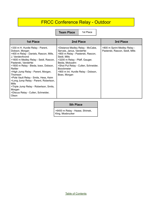## FRCC Conference Relay - Outdoor

**Team Place** | 1st Place

| <b>1st Place</b>                                                                                                                                                                                                                                                                                                                                                                                                                                                                 | 2nd Place                                                                                                                                                                                                                                                                                 | 3rd Place                                                       |
|----------------------------------------------------------------------------------------------------------------------------------------------------------------------------------------------------------------------------------------------------------------------------------------------------------------------------------------------------------------------------------------------------------------------------------------------------------------------------------|-------------------------------------------------------------------------------------------------------------------------------------------------------------------------------------------------------------------------------------------------------------------------------------------|-----------------------------------------------------------------|
| >330 m H. Hurdle Relay - Parent,<br>Dobson, Morgan<br>>400 m Relay - Daniels, Rascon, Mills,<br>J. VandenAvond<br>>1600 m Medley Relay - Seidl, Rascon,<br>Pasterski, VandeHei<br>>1600 m Relay - Bieda, boex, Dobson,<br>Rettler<br>>High Jump Relay - Parent, Morgan,<br>Thomson<br>>Pole Vault Relay - Smits, Hess, Keim<br>>Long Jump Relay - Parent, Robertson,<br>Mills<br>>Triple Jump Relay - Robertson, Smits,<br>Morgan<br>>Discus Relay - Cullen, Schneider,<br>Olson | >Distance Medley Relay - McCabe,<br>Servais, Janus, VandeHei<br>>800 m Relay - Pasterski, Rascon,<br>Seidl, Mills<br>>3200 m Relay - Pfaff, Gauger,<br>Beida, Molozahn<br>>Shot Put Relay - Cullen, Schneider,<br><b>Boockmeier</b><br>>900 m Int. Hurdle Relay - Dobson,<br>Boex, Morgan | >800 m Sprint Medley Relay -<br>Pasterski, Rascon, Seidl, Mills |

#### **5th Place**

>6400 m Relay - Haase, Shimek, King, Mosbrucker

Table of [Contents](#page-1-0)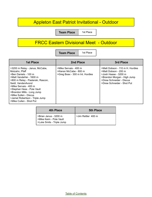### Appleton East Patriot Invitational - Outdoor

**Team Place** | 1st Place

#### FRCC Eastern Divisional Meet - Outdoor

**Team Place** | 1st Place

| <b>1st Place</b>                                                                                                                                                                                                                                                                                                                          | <b>2nd Place</b>                                                                   | 3rd Place                                                                                                                                                                |
|-------------------------------------------------------------------------------------------------------------------------------------------------------------------------------------------------------------------------------------------------------------------------------------------------------------------------------------------|------------------------------------------------------------------------------------|--------------------------------------------------------------------------------------------------------------------------------------------------------------------------|
| >3200 m Relay - Janus, McCabe,<br>Molzahn, Pfaff<br>>Ben Daniels - 100 m<br>>Matt VandeHei - 1600 m<br>>800 m Relay - Pasterski, Rascon,<br>Seidl, VandenAvond<br>>Mike Servais - 400 m<br>>Stephan Hess - Pole Vault<br>>Brandon Mills - Long Jump<br>>Mike Sullen - Discus<br>>Jamel Robertson - Triple Jump<br>>Mike Cullen - Shot Put | >Mike Servais - 400 m<br>>Kieran McCabe - 800 m<br>>Greg Boex - 300 m Int. Hurdles | >Matt Dobson - 110 m H. Hurdles<br>>Matt Dobson - 200 m<br>>Josh Haase - 3200 m<br>>Brandon Morgan - High Jump<br>>Drew Schneider - Discus<br>>Drew Schneider - Shot Put |

| 4th Place                                                                     | <b>5th Place</b>   |
|-------------------------------------------------------------------------------|--------------------|
| >Brian Janus - 3200 m<br>>Mike Keim - Pole Vault<br>>Luke Smits - Triple Jump | >Jim Rettler 400 m |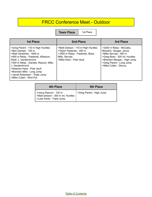## FRCC Conference Meet - Outdoor

**Team Place** | 1st Place

| <b>1st Place</b>                                                                                                                                                                                                                                                                                                                         | 2nd Place                                                                                                                                       | 3rd Place                                                                                                                                                                                       |
|------------------------------------------------------------------------------------------------------------------------------------------------------------------------------------------------------------------------------------------------------------------------------------------------------------------------------------------|-------------------------------------------------------------------------------------------------------------------------------------------------|-------------------------------------------------------------------------------------------------------------------------------------------------------------------------------------------------|
| >Greg Parent - 110 m High Hurdles<br>>Ben Daniels - 100 m<br>>Matt VandeHei - 1600 m<br>>800 m Relay - Pasterski, kRascon,<br>Seidl, J. VandenAvond<br>>400 m Relay - Daniels, Rascon, Mills,<br>J. VandenAvond<br>>Stephan Hess - Pole Vault<br>>Brandon Mills - Long Jump<br>>Jamel Robertson - Triple Jump<br>>Mike Cullen - Shot Put | >Matt Dobson - 110 m High Hurdles<br>>Taylor Pasterski - 200 m<br>>1600 m Relay - Pasterski, Boex,<br>Mills, Servais<br>>Mike Keim - Pole Vault | >3200 m Relay - McCabe,<br>Molzahn, Gauger, Janus<br>>Mike Servais - 400 m<br>>Greg Boex - 300 Int. Hurdles<br>>Brandon Morgan - High Jump<br>>Greg Parent - Long Jump<br>>Mike Cullen - Discus |

| 4th Place                                                                               | <b>5th Place</b>         |
|-----------------------------------------------------------------------------------------|--------------------------|
| J>esus Rascon - 100 m<br>>Matt Dobson - 300 m Int. Hurdles<br>>Luke Smits - Triple Jump | >Greg Parent - High Jump |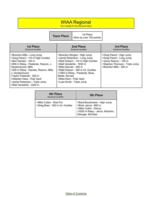#### WIAA Regional

Top 4 qualify for the Sectional Meet

| <b>Team Place</b> | 1st Place                |
|-------------------|--------------------------|
|                   | (Won by over 100 points) |

| 1st Place                                                                                                                                                                                                                                                                                                                                 | 2nd Place                                                                                                                                                                                                                                                                                               | 3rd Place                                                                                                                                 |
|-------------------------------------------------------------------------------------------------------------------------------------------------------------------------------------------------------------------------------------------------------------------------------------------------------------------------------------------|---------------------------------------------------------------------------------------------------------------------------------------------------------------------------------------------------------------------------------------------------------------------------------------------------------|-------------------------------------------------------------------------------------------------------------------------------------------|
| <b>Sectional Qualifier</b>                                                                                                                                                                                                                                                                                                                | <b>Sectional Qualifier</b>                                                                                                                                                                                                                                                                              | <b>Sectional Qualifier</b>                                                                                                                |
| >Brandon Mills - Long Jump<br>>Greg Parent - 110 m High Hurdles<br>>Ben Daniels - 100 m<br>>800 m Relay - Pasterski, Rascon, J.<br>VandenAvond, Mills<br>>400 m Relay - Daniels, Rascon, Mills,<br>J. VandenAvond<br>>Taylor Pasterski - 200 m<br>>Stephan Hess - Pole Vault<br>>Jamel Robertson - Triple Jump<br>>Matt VandeHei - 3200 m | >Brandon Morgan - High Jump<br>>Jamel Robertson - Long Jump<br>>Matt Dobson - 110 m High Hurdles<br>>Matt VandeHei - 1600 m<br>>Mike Servais - 400 m<br>>Matt Dobson - 300 m Int. Hurdles<br>>1600 m Relay - Pasterski, Boex,<br>Bieda, Servais<br>>Mike Keim - Pole Vault<br>>Luke Smits - Triple Jump | >Greg Parent - High Jump<br>>Greg Parent - Long Jump<br>>Jesus Rascon - 100 m<br>>Stephan Thomson - Triple Jump<br>>Brandon Mills - 200 m |

| <b>4th Place</b><br><b>Sectional Qualifier</b>             | 5th Place                                                                                                                           |
|------------------------------------------------------------|-------------------------------------------------------------------------------------------------------------------------------------|
| >Mike Cullen - Shot Put<br>>Greg Boex - 300 m Int. Hurdles | >Brad Boockmeier - High Jump<br>>Brian Janus - 800 m<br>>Mike Cullen - Discus<br>>3200 m Relay - Janus, Molzahn,<br>Gasuger, McCabe |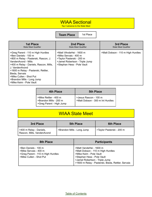#### WIAA Sectional

Top 3 advance to the State Meet

**Team Place** 1st Place

| 1st Place<br><b>State Meet Qualifier</b>                                                                                                                                                                                                                                                                                          | 2nd Place<br><b>State Meet Qualifier</b>                                                                                                      | 3rd Place<br><b>State Meet Qualifier</b> |
|-----------------------------------------------------------------------------------------------------------------------------------------------------------------------------------------------------------------------------------------------------------------------------------------------------------------------------------|-----------------------------------------------------------------------------------------------------------------------------------------------|------------------------------------------|
| >Greg Parent - 110 m High Hurdles<br>>Ben Daniels - 100 m<br>>800 m Relay - Pasterski, Rascon, J.<br>VandenAvond - Mills<br>>400 m Relay - Daniels, Rascon, Mills,<br>J. VandenAvond<br>>1600 m Relay - Pasterski, Rettler,<br>Bieda, Servais<br>>Mike Cullen - Shot Put<br>>Brandon Mills - Long Jump<br>>Mike Keim - Pole Vault | >Matt VAndeHei - 1600 m<br>>Mike Servais - 400 m<br>>Taylor Pasterski - 200 m<br>>Jamel Robertson - Triple Jump<br>>Stephan Hess - Pole Vault | >Matt Dobson - 110 m High Hurdles        |

| 4th Place                                                                   | <b>5th Place</b>                                          |
|-----------------------------------------------------------------------------|-----------------------------------------------------------|
| >Mike Rettler - 400 m<br>>Brandon Mills - 200 m<br>>Greg Parent - High Jump | >Jesus Rascon - 100 m<br>>Matt Dobson - 300 m Int Hurdles |

### WIAA State Meet

| 3rd Place                                             | <b>5th Place</b>           | <b>6th Place</b>             |
|-------------------------------------------------------|----------------------------|------------------------------|
| >400 m Relay - Daniels,<br>Rascon, Mills, VandenAvond | >Brandon Mills - Long Jump | 5 > Taylor Pasterski - 200 m |

| 8th Place                                                                                                     | <b>Participants</b>                                                                                                                                                                                           |
|---------------------------------------------------------------------------------------------------------------|---------------------------------------------------------------------------------------------------------------------------------------------------------------------------------------------------------------|
| >Ben Daniels - 100 m<br>>Mike Servais - 400 m<br>>Greg Parent - 110 m High Hurdles<br>>Mike Cullen - Shot Put | >Matt VandeHei - 1600 m<br>>Matt Dobson - 110 m High Hurdles<br>>Mike Keim - Pole Vault<br>>Stephan Hess - Pole Vault<br>>Jamel Robertson - Triple Jump<br>>1600 m Relay - Pasterski, Bieda, Rettler, Servais |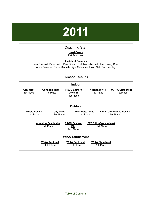# **2011**

#### Coaching Staff

**Head Coach** Pat Prochnow

#### **Assistant Coaches**

<span id="page-16-0"></span>Jack Drankoff, Dave Loritz, Paul Donart, Nick Marcelle, Jeff Kline, Casey Bins, Andy Fameree, Steve Marcelle, Kyle McMahan, Lloyd Nell, Rod Leadley

#### Season Results

|                                   |                                          | <b>Indoor</b>                                       |                                          |                                            |
|-----------------------------------|------------------------------------------|-----------------------------------------------------|------------------------------------------|--------------------------------------------|
| <b>City Meet</b><br>1st Place     | <b>Oshkosh Titan</b><br>1st Place        | <b>FRCC Eastern</b><br><b>Division</b><br>1st Place | <b>Neenah Invite</b><br>1st Place        | <b>W/TFA State Meet</b><br>1st Place       |
|                                   |                                          | Outdoor                                             |                                          |                                            |
| <b>Preble Relays</b><br>1st Place | <b>City Meet</b><br>1st Place            | <b>Marquette Invite</b><br>1st Place                |                                          | <b>FRCC Conference Relays</b><br>1st Place |
|                                   | <b>Appleton East Invite</b><br>1st Place | <b>FRCC Eastern</b><br><u>Div</u><br>1st Place      | <b>FRCC Conference Meet</b><br>1st Place |                                            |
|                                   |                                          | <b>WIAA Tournament</b>                              |                                          |                                            |
|                                   | <b>WIAA Regional</b><br>1st Place        | <b>WIAA Sectional</b><br>1st Place                  | <b>WIAA State Meet</b><br>5th Place      |                                            |

Table of [Contents](#page-1-0)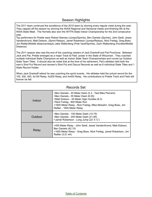#### Season Highlights

The 2011 team continued the excellence of the 2010 team by winning every regular meet during the year. They capped off the season by winning the WIAA Regional and Sectional meets and finishing 5th at the WIAA State Meet. The Hornets also won the W/TFA State Indoor Championship for the 2nd consecutive year.

Top performers for Preble were Robert Starnes (Jumps/Sprints), Ben Daniels (Sprints), John Seidl, Jesse VandenAvond, Matt Dobson, (Sprint Relays), Jamel Robertson (Jumps/Relays), Nick Freitag, Greg Boex, Jim Rettler(Middle distance/relays) Jake Wallenfang (Pole Vault/Sprints), Zach Wallenfang (Hurdles/Middle Distance)

The 2011 season also was the end of the coaching careers of Jack Drankoff and Pat Prochnow. Between Jack and Pat, Preble emerged as a major Track & Field power in the State of Wisconsin. They coached multiple Individual State Champions as well as Indoor State Team Championships and runner-up Outdoor State Team Titles. It should also be noted that at the time of his retirement, Pat's athletes held both the men's Shot Put Record and women's Shot Put and Discus Records as well as 6 individual State Titles and 1 State Record Holder.

When Jack Drankoff retired he was coaching the sprint events. His athletes held the school record for the 100, 200, 400, 4x100 Relay, 4x200 Relay, and 4x400 Relay. His contributions to Preble Track and Field will forever be felt.

| Indoor  | >Ben Daniels - 45 Meter Dash (5.3 - Tied Mike Pierrard)<br>>Ben Daniels - 55 Meter Dash (6.55)<br>>Matt Dobson - 45 Meter High Hurdles (6.3)<br>>Nick Freitag - 800 Meter Run<br>>1600 Meter Relay - Nick Freitag, Mike Molzahn, Greg Boex, Jim<br>Rettler - 1600 Meter Relay |
|---------|-------------------------------------------------------------------------------------------------------------------------------------------------------------------------------------------------------------------------------------------------------------------------------|
| Outdoor | >Ben Daniels - 100 Meter Dash (10.75)<br>>Ben Daniels - 200 Meter Dash (21.85)<br>>Jamel Robertson - Long Jump (22' 5 1/2")                                                                                                                                                   |
| Relay   | >400 Meter Relay - John Seidl, Jesse VandenAvond, Matt Dobson,<br>Ben Daniels (42.15)<br>>1600 Meter Relay - Greg Boex, Nick Freitag, Jamel Robertson, Jim<br>Rettler (3:21.44)                                                                                               |

#### Records Set

Table of [Contents](#page-1-0)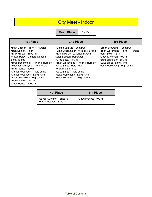## City Meet - Indoor

**Team Place** | 1st Place

| <b>1st Place</b>                                                                                                                                                                                                                                                                                                                                                                        | 2nd Place                                                                                                                                                                                                                                                                                                                                     | 3rd Place                                                                                                                                                                                              |
|-----------------------------------------------------------------------------------------------------------------------------------------------------------------------------------------------------------------------------------------------------------------------------------------------------------------------------------------------------------------------------------------|-----------------------------------------------------------------------------------------------------------------------------------------------------------------------------------------------------------------------------------------------------------------------------------------------------------------------------------------------|--------------------------------------------------------------------------------------------------------------------------------------------------------------------------------------------------------|
| >Matt Dobson - 45 m H. Hurdles<br>>Ben Daniels - 45 m<br>>Nick Freitag - 1600 m<br>>4 Lap Relay - Daniels, Dobson,<br>Seidl, Turbitt<br>>Brad Boockmeier - 176 m I. Hurdles<br>>Michael Verheyden - Pole Vault<br>>Brian Janus - 800 m<br>>Jamel Robertson - Triple Jump<br>>Jamel Robertson - Long Jump<br>>Drew Schneider - High Jump<br>>Ben Daniels - 200 m<br>>Josh Haase - 3200 m | >Colton VanRite - Shot Put<br>>Brad Boockmeier - 45 m H. Hurdles<br>>800 m Relay - J. VandenAvond,<br>Seidl, Dobson, Robertson<br>>Greg Boex - 400 m<br>>Zach Wallenfang - 176 m I. Hurdles<br>>Luke Smits - Pole Vault<br>>Nick Freitag - 800 m<br>>Luke Smits - Triple Jump<br>>Jake Wallenfang - Long Jump<br>>Brad Boockmeier - High Jump | >Brock Schweiner - Shot Put<br>>Zach Wallenfang - 45 m H. Hurdles<br>>John Seidl - 45 m<br>>Cody Kirchman - 400 m<br>>Sam Schneider - 800 m<br>>Luke Smits - Long Jump<br>>Jake Wallenfang - High Jump |

| <b>4th Place</b>                                     | <b>5th Place</b>      |
|------------------------------------------------------|-----------------------|
| >Jacob Guenther - Shot Put<br>>Kevin Meaney - 3200 m | >Chad Prevost - 400 m |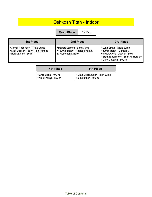#### Oshkosh Titan - Indoor

**Team Place** | 1st Place

| 1st Place                                                                                 | 2nd Place                                                                               | 3rd Place                                                                                                                                            |
|-------------------------------------------------------------------------------------------|-----------------------------------------------------------------------------------------|------------------------------------------------------------------------------------------------------------------------------------------------------|
| >Jamel Robertson - Triple Jump<br>>Matt Dobson - 55 m High Hurdles<br>>Ben Daniels - 55 m | >Robert Starnes - Long Jump<br>>1600 m Relay - Rettler, Freitag,<br>Z. Wallenfang, Boex | >Luke Smits - Triple Jump<br>>800 m Relay - Daniels, J.<br>VandenAvond, Dobson, Seidl<br>>Brad Boockmeier - 55 m H. Hurdles<br>>Mike Molzahn - 800 m |

| <b>4th Place</b>                            | <b>5th Place</b>                                     |
|---------------------------------------------|------------------------------------------------------|
| >Greg Boex - 400 m<br>>Nick Freitag - 800 m | >Brad Boockmeier - High Jump<br>>Jim Rettler - 400 m |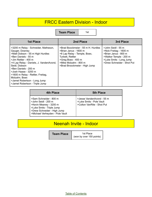#### FRCC Eastern Division - Indoor

**Team Place** 1st

| <b>1st Place</b>                                                                                                                                                                                                                                                                                                                                                              | 2nd Place                                                                                                                                                                                       | 3rd Place                                                                                                                                               |
|-------------------------------------------------------------------------------------------------------------------------------------------------------------------------------------------------------------------------------------------------------------------------------------------------------------------------------------------------------------------------------|-------------------------------------------------------------------------------------------------------------------------------------------------------------------------------------------------|---------------------------------------------------------------------------------------------------------------------------------------------------------|
| >3200 m Relay - Schneider, Matheson,<br>Gauger, Downey<br>>Matt Dobson - 55 m High Hurdles<br>>Ben Daniels - 55 m<br>>Jim Rettler - 400 m<br>>4 Lap Relay - Daniels, J. VandenAvond,<br>Seidl, Dobson<br>>Ben Daniels - 200 m<br>>Josh Haase - 3200 m<br>>1600 m Relay - Rettler, Freitag,<br>Molzahn, Boex<br>>Jamel Robertson - Long Jump<br>>Jamel Robertson - Triple Jump | >Brad Boockmeier - 55 m H. Hurdles<br>>Brian Janus - 1600 m<br>>6 Lap Relay - Temple, Boex,<br>Turbett, Rettler<br>>Greg Boex - 400 m<br>>Mike Molzahn - 800 m<br>>Brad Broockmeier - High Jump | >John Seidl - 55 m<br>>Nick Freitag - 1600 m<br>>Brian Janus - 800 m<br>>Walker Temple - 200 m<br>>Luke Smits - Long Jump<br>>Drew Schneider - Shot Put |

| 4th Place                                                                                                                                                              | <b>5th Place</b>                                                                    |
|------------------------------------------------------------------------------------------------------------------------------------------------------------------------|-------------------------------------------------------------------------------------|
| >Sam Schneider - 800 m<br>>John Seidl - 200 m<br>>Kevin Meaney - 3200 m<br>>Luke Smits - Triple Jump<br>>Drew Schneider - High Jump<br>>Michael Verheyden - Pole Vault | >Jesse VandenAvond - 55 m<br>>Luke Smits - Pole Vault<br>>Colton VanRite - Shot Put |

## Neenah Invite - Indoor

**Team Place** 1st Place

(won by over 150 points)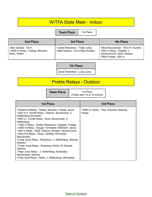#### W/TFA State Meet - Indoor

**Team Place** | 1st Place

| 2nd Place                                                                 | 3rd Place                                                          | 4th Place                                                                                                               |
|---------------------------------------------------------------------------|--------------------------------------------------------------------|-------------------------------------------------------------------------------------------------------------------------|
| >Ben Daniels - 55 m<br>>1600 m Relay - Freitag, Molzahn,<br>Boex, Rettler | >Jamel Robertson - Triple Jump<br>>Matt Dobson - 55 m High Hurdles | >Brad Boockmeier - 55 m H. Hurdles<br>>800 m Relay - Daniels, J.<br>VandenAvond, Seidl, Dobson<br>>Nick Freitag - 800 m |

**7th Place**

Jamel Robertson - Long Jump

## Preble Relays - Outdoor

| <b>Team Place</b> | 1st Place                      |
|-------------------|--------------------------------|
|                   | ↑ (Preble won 12 of 14 events) |

| <b>1st Place</b>                                                                                                                                                                                                                                                                                                                                                                                                                                                                                                                                                                                                                                                                                                        | 3rd Place                                         |
|-------------------------------------------------------------------------------------------------------------------------------------------------------------------------------------------------------------------------------------------------------------------------------------------------------------------------------------------------------------------------------------------------------------------------------------------------------------------------------------------------------------------------------------------------------------------------------------------------------------------------------------------------------------------------------------------------------------------------|---------------------------------------------------|
| >Distance Medley - Rettler, Molzahn, Freitag, Janus<br>>440 m H. Hurdle Relay - Dobson, Boockmeier, Z.<br><b>Wallenfang Schneider</b><br>>900 m I. Hurdle Relay - Boex, Boockmeier, Z.<br>Wallenfang<br>>1600 m Relay - Rettler, Robertson, Cegelski, Freitag<br>>3200 m Relay - Gauger, Schneider, Mathison, Janus<br>>800 m Relay - Seidl, Dobson, Daniels, VandenAvond<br>>Shot Put Relay - Olson, VanRite, Schneider,<br><b>Boockmeier</b><br>>Long Jump Relay - Robertson, J. Wallenfang, Starnes,<br>Dobson<br>>Triple Jump Relay - Robertson Smits, W. Daniels,<br><b>Starnes</b><br>>High Jump Relay - J. Wallenfang, Schneider,<br>Boockmeier, Starnes<br>>Pole Vault Relay - Nellis, J. Wallenfang, Verheyden | >6400 m. Relay - Fliss, Schimek, Meaney,<br>Haase |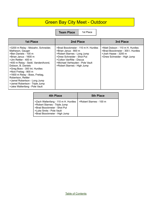## Green Bay City Meet - Outdoor

**Team Place** | 1st Place

| <b>1st Place</b>                                                                                                                                                                                                                                                                                                                                                                                                  | 2nd Place                                                                                                                                                                                                              | 3rd Place                                                                                                                   |
|-------------------------------------------------------------------------------------------------------------------------------------------------------------------------------------------------------------------------------------------------------------------------------------------------------------------------------------------------------------------------------------------------------------------|------------------------------------------------------------------------------------------------------------------------------------------------------------------------------------------------------------------------|-----------------------------------------------------------------------------------------------------------------------------|
| >3200 m Relay - Molzahn, Schneider,<br>Matheson, Gauger<br>>Ben Daniels - 100 m<br>>Brian Janus - 1600 m<br>>Jim Rettler - 400 m<br>>400 m Relay - Seidl, VandenAvond,<br>Dobson, B. Daniels<br>>Greg Boex - 300 Int. Hurdles<br>>Nick Freitag - 800 m<br>>1600 m Relay - Boex, Freitag,<br>Robertson, Rettler<br>>Jamel Robertson - Long Jump<br>>Jamel Robertson - Triple Jump<br>>Jake Wallenfang - Pole Vault | >Brad Boockmeier - 110 m H. Hurdles<br>>Brian Janus - 800 m<br>>Robert Starnes - Long Jump<br>>Drew Schneider - Shot Put<br>>Colton VanRite - Discus<br>>Michael Verheyden - Pole Vault<br>>Robert Starnes - High Jump | >Matt Dobson - 110 m H. Hurdles<br>>Brad Boockmeier - 300 I. Hurdles<br>>Josh Haase - 3200 m<br>>Drew Schneider - High Jump |

| 4th Place                                                                                                                                                       | <b>5th Place</b>        |
|-----------------------------------------------------------------------------------------------------------------------------------------------------------------|-------------------------|
| >Zach Wallenfang - 110 m H. Hurdles<br>>Robert Starnes - Triple Jump<br>>Brad Boockmeier - Shot Put<br>>Luke Smits - Pole Vault<br>>Brad Boockmeier - High Jump | >Robert Starnes - 100 m |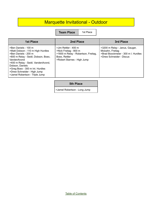### Marquette Invitational - Outdoor

**Team Place** | 1st Place

| <b>1st Place</b>                                                                                                                                                                                                                                                                                     | 2nd Place                                                                                                                            | 3rd Place                                                                                                             |
|------------------------------------------------------------------------------------------------------------------------------------------------------------------------------------------------------------------------------------------------------------------------------------------------------|--------------------------------------------------------------------------------------------------------------------------------------|-----------------------------------------------------------------------------------------------------------------------|
| >Ben Daniels - 100 m<br>>Matt Dobson - 110 m High Hurdles<br>>Ben Daniels - 200 m<br>>800 m Relay - Seidl, Dobson, Boex,<br>VandenAvond<br>>400 m Relay - Seidl, VandenAvond,<br>Dobson, Daniels<br>>Greg Boex - 300 m Int. Hurdles<br>>Drew Schneider - High Jump<br>>Jamel Robertson - Triple Jump | >Jim Rettler - 400 m<br>>Nick Freitag - 800 m<br>>1600 m Relay - Robertson, Freitag,<br>Boex, Rettler<br>>Robert Starnes - High Jump | >3200 m Relay - Janus, Gauger,<br>Molzahn, Freitag<br>>Brad Boockmeier - 300 m I. Hurdles<br>>Drew Schneider - Discus |

**5th Place**

>Jamel Robertson - Long Jump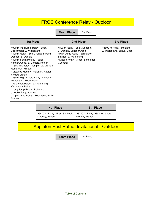## FRCC Conference Relay - Outdoor

**Team Place** | 1st Place

| <b>1st Place</b>                                                                                                                                                                                                                                                                                                                                                                                                                                                                                                                                                            | 2nd Place                                                                                                                                                            | 3rd Place                                              |
|-----------------------------------------------------------------------------------------------------------------------------------------------------------------------------------------------------------------------------------------------------------------------------------------------------------------------------------------------------------------------------------------------------------------------------------------------------------------------------------------------------------------------------------------------------------------------------|----------------------------------------------------------------------------------------------------------------------------------------------------------------------|--------------------------------------------------------|
| >900 m Int. Hurdle Relay - Boex,<br>Boockmeier, Z. Wallenfang<br>>400 m Relay - Seidl, VandenAvond,<br>Dobson, B. Daniels<br>>800 m Sprint Medley - Seidl,<br>VandenAvond, B. Daniels, Rettler<br>>1600 m Medley - Temple, W. Daniels,<br>Robertson, Freitag<br>>Distance Medley - Molzahn, Rettler,<br>Freitag, Janus<br>>330 m High Hurdle Relay - Dobson, Z.<br>Wallenfang, Boockmeier<br>>Pole Vault Relay - J. Wallenfang,<br>Verheyden, Nellis<br>>Long Jump Relay - Robertson,<br>J. Wallenfang, Starnes<br>>Triple Jump Relay - Robertson, Smits,<br><b>Starnes</b> | >800 m Relay - Seidl, Dobson,<br>B. Daniels, VandenAvond<br>>High Jump Relay - Schneider,<br>Starnes, J. Wallenfang<br>>Discus Relay - Olson, Schneider,<br>Guenther | >1600 m Relay - Molzahn,<br>Z. Wallenfang, Janus, Boex |

| <b>4th Place</b>                                                                | <b>5th Place</b> |
|---------------------------------------------------------------------------------|------------------|
| >6400 m Relay - Fliss, Schimek,   >3200 m Relay - Gauger, Jindra, Meaney, Haase |                  |

## Appleton East Patriot Invitational - Outdoor

**Team Place** | 1st Place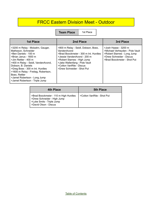#### FRCC Eastern Division Meet - Outdoor

**Team Place** | 1st Place

| <b>1st Place</b>                                                                                                                                                                                                                                                                                                                                          | 2nd Place                                                                                                                                                                                                                                            | 3rd Place                                                                                                                                         |
|-----------------------------------------------------------------------------------------------------------------------------------------------------------------------------------------------------------------------------------------------------------------------------------------------------------------------------------------------------------|------------------------------------------------------------------------------------------------------------------------------------------------------------------------------------------------------------------------------------------------------|---------------------------------------------------------------------------------------------------------------------------------------------------|
| >3200 m Relay - Molzahn, Gauger,<br>Matheson, Schneider<br>>Ben Daniels - 100 m<br>>Brian Janus - 1600 m<br>>Jim Rettler - 400 m<br>>400 m Relay - Seidl, VandenAvond,<br>Dobson, B. Daniels<br>>Greg Boex - 300 m Int. Hurdles<br>>1600 m Relay - Freitag, Robertson,<br>Boex, Rettler<br>>Jamel Robertson - Long Jump<br>>Jamel Robertson - Triple Jump | >800 m Relay - Seidl, Dobson, Boex,<br>VandenAvond<br>>Brad Boockmeier - 300 m Int. Hurdles<br>>Jessie VandenAvond - 200 m<br>>Robert Starnes - High Jump<br>>Jake Wallenfang - Pole Vault<br>>Colton VanRite - Discus<br>>Drew Schneider - Shot Put | >Josh Haase - 3200 m<br>>Michael Verheyden - Pole Vault<br>>Robert Starnes - Long Jump<br>>Drew Schneider - Discus<br>>Brad Boockmeier - Shot Put |

| <b>4th Place</b>                                                                                                           | <b>5th Place</b>           |
|----------------------------------------------------------------------------------------------------------------------------|----------------------------|
| >Brad Boockmeier - 110 m High Hurdles<br>>Drew Schneider - High Jump<br>>Luke Smits - Triple Jump<br>>David Olson - Discus | >Colton VanRite - Shot Put |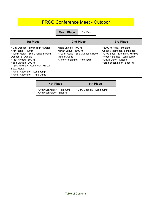## FRCC Conference Meet - Outdoor

**Team Place** | 1st Place

| <b>1st Place</b>                                                                                                                                                                                                                                                                                 | 2nd Place                                                                                                                            | 3rd Place                                                                                                                                                                         |
|--------------------------------------------------------------------------------------------------------------------------------------------------------------------------------------------------------------------------------------------------------------------------------------------------|--------------------------------------------------------------------------------------------------------------------------------------|-----------------------------------------------------------------------------------------------------------------------------------------------------------------------------------|
| >Matt Dobson - 110 m High Hurdles<br>>Jim Rettler - 400 m<br>>400 m Relay - Seidl, VandenAvond,<br>Dobson, B. Daniels<br>>Nick Freitag - 800 m<br>>Ben Daniels - 200 m<br>>1600 m Relay - Robertson, Freitag,<br>Boex, Rettler<br>>Jamel Robertson - Long Jump<br>>Jamel Robertson - Triple Jump | >Ben Daniels - 100 m<br>>Brian Janus - 1600 m<br>>800 m Relay - Seidl, Dobson, Boex,<br>VandenAvond<br>>Jake Wallenfang - Pole Vault | >3200 m Relay - Molzahn,<br>Gauger, Matheson, Schneider<br>>Greg Boex - 300 m Int. Hurdles<br>>Robert Starnes - Long Jump<br>>David Olson - Discus<br>>Brad Boockmeier - Shot Put |

| 4th Place                                                 | <b>5th Place</b>           |
|-----------------------------------------------------------|----------------------------|
| >Drew Schneider - High Jump<br>>Drew Schneider - Shot Put | >Cory Cegelski - Long Jump |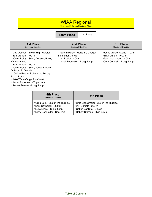#### WIAA Regional

Top 4 qualify for the Sectional Meet

**Team Place** 1st Place

| 1st Place                                                                                                                                                                                                                                                                                                                                                     | 2nd Place                                                                                                    | 3rd Place                                                                                                     |
|---------------------------------------------------------------------------------------------------------------------------------------------------------------------------------------------------------------------------------------------------------------------------------------------------------------------------------------------------------------|--------------------------------------------------------------------------------------------------------------|---------------------------------------------------------------------------------------------------------------|
| <b>Sectional Qualifier</b>                                                                                                                                                                                                                                                                                                                                    | <b>Sectional Qualifier</b>                                                                                   | <b>Sectional Qualifier</b>                                                                                    |
| >Matt Dobson - 110 m High Hurdles<br>>Ben Daniels - 100 m<br>>800 m Relay - Seidl, Dobson, Boex,<br>VandenAvond<br>>Ben Daniels - 200 m<br>>400 m Relay - Seidl, VandenAvond,<br>Dobson, B. Daniels<br>>1600 m Relay - Robertson, Freitag,<br>Boex. Rettler<br>>Jake Wallenfang - Pole Vault<br>>Jamel Robertson - Triple Jump<br>>Robert Starnes - Long Jump | >3200 m Relay - Molzahn, Gauger,<br>Schneider, Janus<br>>Jim Rettler - 400 m<br>>Jamel Robertson - Long Jump | >Jesse VandenAvond - 100 m<br>>Brian Janus - 1600 m<br>>Zach Wallenfang - 400 m<br>>Cory Cegelski - Long Jump |

| 4th Place<br><b>Sectional Qualifier</b> | <b>5th Place</b>                      |
|-----------------------------------------|---------------------------------------|
| >Greg Boex - 300 m Int. Hurdles         | >Brad Boockmeier - 300 m Int. Hurdles |
| >Sam Schneider - 800 m                  | >Will Daniels - 200 m                 |
| >Luke Smits - Triple Jump               | >Colton VanRite - Discus              |
| >Drew Schneider - Shot Put              | >Robert Starnes - High Jump           |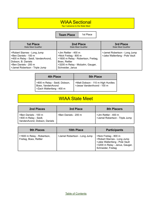#### WIAA Sectional

Top 3 advance to the State Meet

**Team Place** 1st Place

| 1st Place                                                                                                                                                                 | 2nd Place                                                                                                                                                     | 3rd Place                                                     |
|---------------------------------------------------------------------------------------------------------------------------------------------------------------------------|---------------------------------------------------------------------------------------------------------------------------------------------------------------|---------------------------------------------------------------|
| <b>State Meet Qualifier</b>                                                                                                                                               | <b>State Meet Qualifier</b>                                                                                                                                   | <b>State Meet Qualifier</b>                                   |
| >Robert Starnes - Long Jump<br>>Ben Daniels - 100 m<br>>400 m Relay - Seidl, VandenAvond,<br>Dobson, B. Daniels<br>>Ben Daniels - 200 m<br>>Jamel Robertson - Triple Jump | >Jim Rettler - 400 m<br>>Nick Freitag - 800 m<br>>1600 m Relay - Robertson, Freitag,<br>Boex, Rettler<br>>3200 m Relay - Molzahn, Gauger,<br>Schneider, Janus | >Jamel Robertson - Long Jump<br>>Jake Wallenfang - Pole Vault |

| <b>4th Place</b>                                                               | <b>5th Place</b>                                                |
|--------------------------------------------------------------------------------|-----------------------------------------------------------------|
| >800 m Relay - Seidl, Dobson,<br>Boex, VandenAvond<br>>Zach Wallenfang - 400 m | >Matt Dobson - 110 m High Hurdles<br>>Jesse VandenAvond - 100 m |

### WIAA State Meet

| 2nd Places                                                                    | 3rd Place            | <b>8th Placers</b>                                     |
|-------------------------------------------------------------------------------|----------------------|--------------------------------------------------------|
| >Ben Daniels - 100 m<br>>400 m Relay - Seidl,<br>VandenAvond, Dobson, Daniels | >Ben Daniels - 200 m | >Jim Rettler - 400 m<br>>Jamel Robertson - Triple Jump |

| <b>9th Places</b>                                    | <b>10th Place</b>            | <b>Participants</b>                                                                                                                           |
|------------------------------------------------------|------------------------------|-----------------------------------------------------------------------------------------------------------------------------------------------|
| >1600 m Relay - Robertson,<br>Freitag, Boex, Rettler | >Jamel Robertson - Long Jump | >Nick Freitag - 800 m<br>>Robert Starnes - Long Jump<br>>Jake Wallenfang - Pole Vault<br>>3200 m Relay - Janus, Gauger,<br>Schneider, Freitag |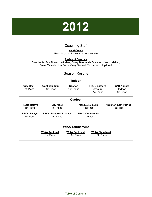# **2012**

#### Coaching Staff

**Head Coach** Nick Marcelle (first year as head coach)

#### **Assistant Coaches**

<span id="page-29-0"></span>Dave Loritz, Paul Donart, Jeff Kline, Casey Bins, Andy Fameree, Kyle McMahan, Steve Marcelle, Jon Doble, Greg Pierquet, Tim Larsen, Lloyd Nell

#### Season Results

| <b>Indoor</b>                     |                                            |                                    |                                                     |                                                  |
|-----------------------------------|--------------------------------------------|------------------------------------|-----------------------------------------------------|--------------------------------------------------|
| <b>City Meet</b><br>1st Place     | <b>Oshkosh Titan</b><br>1st Place          | Neenah<br>1st Place                | <b>FRCC Eastern</b><br><u>Division</u><br>1st Place | <b>W/TFA State</b><br><u>Indoor</u><br>1st Place |
|                                   |                                            | <b>Outdoor</b>                     |                                                     |                                                  |
| <b>Preble Relays</b><br>1st Place | <b>City Meet</b><br>1st Place              |                                    | <b>Marquette Invite</b><br>1st Place                | <b>Appleton East Patriot</b><br>1st Place        |
| <b>FRCC Relays</b><br>1st Place   | <b>FRCC Eastern Div. Meet</b><br>1st Place |                                    | <b>FRCC Conference</b><br>1st Place                 |                                                  |
|                                   |                                            | <b>WIAA Tournament</b>             |                                                     |                                                  |
|                                   | <b>WIAA Regional</b><br>1st Place          | <b>WIAA Sectional</b><br>1st Place | <b>WIAA State Meet</b><br>16th Place                |                                                  |

Table of [Contents](#page-1-0)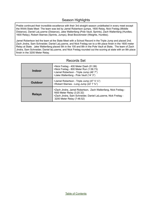#### Season Highlights

Preble continued their incredible excellence with their 3rd straight season undefeated in every meet except the WIAA State Meet The team was led by Jamel Robertson (jumps, 1600 Relay, Nick Freitag (Middle Distance), Daniel LaLuzerne (Distance), Jake Wallenfang (Pole Vault, Sprints), Zach Wallenfang (Hurdles, 1600 Relay), Robert Starnes (Sprints, Jumps), Brad Boockmeier (Weights, Hurdles).

Jamel Robertson led the team at the State Meet with a School Record in the Triple Jump and placed 2nd. Zach Jindra, Sam Schneider, Daniel LaLuzerne, and Nick Freitag ran to a 4th place finish in the 1600 meter Relay at State. Jake Wallenfang placed 5th in the 100 and 8th in the Pole Vault at State, The team of Zach Jindra, Sam Schneider, Daniel laLuzerne, and Nick Freitag rounded out the scoring at state with an 8th place finish in the 3200 Meter Relay.

| <b>Indoor</b>  | >Nick Freitag - 400 Meter Dash (51.99)<br>>Nick Freitag - 800 Meter Run (1:58.73)<br>>Jamel Robertson - Triple Jump (46' 7")<br>>Jake Wallenfang - Pole Vault (14' 3")                      |
|----------------|---------------------------------------------------------------------------------------------------------------------------------------------------------------------------------------------|
| <b>Outdoor</b> | >Jamel Robertson - Triple Jump $(47' 5 \frac{1}{2})$<br>>Robert Starnes - Long Jump (22' 7 3/4")                                                                                            |
| <b>Relays</b>  | >Zach Jindra, Jamel Robertson, Zach Wallenfang, Nick Freitag -<br>1600 Meter Relay (3:20.32)<br>>Zach Jindra, Sam Schneider, Daniel LaLuzerne, Nick Freitag -<br>3200 Meter Relay (7:48.52) |

#### Records Set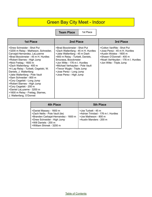## Green Bay City Meet - Indoor

**Team Place** | 1st Place

| <b>1st Place</b>                                                                                                                                                                                                                                                                                                                                                                                                                                                                                                                                 | 2nd Place                                                                                                                                                                                                                                                                                                             | 3rd Place                                                                                                                                                                            |
|--------------------------------------------------------------------------------------------------------------------------------------------------------------------------------------------------------------------------------------------------------------------------------------------------------------------------------------------------------------------------------------------------------------------------------------------------------------------------------------------------------------------------------------------------|-----------------------------------------------------------------------------------------------------------------------------------------------------------------------------------------------------------------------------------------------------------------------------------------------------------------------|--------------------------------------------------------------------------------------------------------------------------------------------------------------------------------------|
| >Drew Schneider - Shot Put<br>>3200 m Relay - Matheson, Schneider,<br>Carvajal-Hernandez, LaLuzerne<br>>Brad Boockmeier - 45 m H. Hurdles<br>>Robert Starnes - High Jump<br>>Nick Freitag - 1600 m<br>>Zach Wallenfang - 400 m<br>>4 Lap Relay - Turbett, Cegelski, W.<br>Daniels, J. Wallenfang<br>>Jake Wallenfang - Pole Vault<br>>Sam Schneider - 800 m<br>>Cory Cegelski - Long Jump<br>>Robert Starnes - High Jump<br>>Cory Cegelski - 200 m<br>>Daniel LaLuzerne - 3200 m<br>>1600 m Relay - Freitag, Starnes,<br>J. Wallenfang, O'Donnel | >Brad Boockmeier - Shot Put<br>>Zach Wallenfang - 45 m H. Hurdles<br>>Jake Wallenfang - 45 m Dash<br>>800 m Relay - Turbett, Daniels,<br>Smurawa, Boockmeier<br>>Jon Witte - 176 m I. Hurdles<br>>Michael Verhayden - Pole Vault<br>>Trevor Wygle - Triple Jump<br>>Jose Perez - Long Jump<br>>Jose Perez - High Jump | >Colton VanRite - Shot Put<br>>Jose Perez - 45 m H. Hurdles<br>>Austin Wolske - 1600 m<br>>Shawn O'Donnell - 400 m<br>>Noah VerHeyden - 176 m I. Hurdles<br>>Jon Witte - Triple Jump |

| <b>4th Place</b>                                                                                                                                                                       | <b>5th Place</b>                                                                                               |
|----------------------------------------------------------------------------------------------------------------------------------------------------------------------------------------|----------------------------------------------------------------------------------------------------------------|
| >Daniel Massey - 1600 m<br>>Zach Nellis - Pole Vault (tie)<br>>Branden Carbajal-Hernandez - 1600 m<br>>Drew Schneider - High Jump<br>>Will Daniels - 200 m<br>>William Shimek - 3200 m | >Joe Turbett - 45 m<br>>Adrian Trinidad - 176 m I. Hurdles<br>>Joe Matheson - 800 m<br>>Austin Manders - 200 m |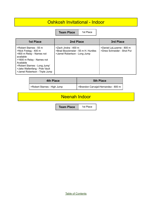#### Oshkosh Invitational - Indoor

**Team Place** | 1st Place

| <b>1st Place</b>                                                                                                                                                                                                                      | 2nd Place                                                                                  | 3rd Place                                               |
|---------------------------------------------------------------------------------------------------------------------------------------------------------------------------------------------------------------------------------------|--------------------------------------------------------------------------------------------|---------------------------------------------------------|
| >Robert Starnes - 55 m<br>>Nick Freitag - 400 m<br>>800 m Relay - Names not<br>available<br>>1600 m Relay - Names not<br>Available<br>>Robert Starnes - Long Jump'<br>>Jake Wallenfang - Pole Vault<br>>Jamel Robertson - Triple Jump | >Zach Jindra - 400 m<br>>Brad Boockmeier - 55 m H. Hurdles<br>>Jamel Robertson - Long Jump | >Daniel LaLuzerne - 800 m<br>>Drew Schneider - Shot Put |

| 4th Place                   | <b>5th Place</b>                    |
|-----------------------------|-------------------------------------|
| SRobert Starnes - High Jump | >Brandon Carvajal-Hernandez - 800 m |

#### Neenah Indoor

**Team Place** 1st Place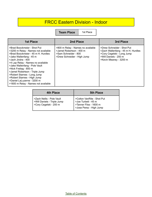### FRCC Eastern Division - Indoor

**Team Place** | 1st Place

| <b>1st Place</b>                                                                                                                                                                                                                                                                                                                                                                                                              | <b>2nd Place</b>                                                                                                     | 3rd Place                                                                                                                                         |
|-------------------------------------------------------------------------------------------------------------------------------------------------------------------------------------------------------------------------------------------------------------------------------------------------------------------------------------------------------------------------------------------------------------------------------|----------------------------------------------------------------------------------------------------------------------|---------------------------------------------------------------------------------------------------------------------------------------------------|
| >Brad Boockmeier - Shot Put<br>>3200 m Relay - Names not available<br>>Brad Boockmeier - 45 m H. Hurdles<br>>Jake Wallenfang - 45 m<br>-Jach Jindra - 400<br>>4 Lap Relay - Names no available<br>>Jake Wallenfang - Pole Vault<br>>Nick Freitag - 800 m<br>>Jamel Robertson - Triple Jump<br>>Robert Starnes - Long Jump<br>>Robert Starnes - High Jump<br>>Daniel LaLuzerne - 3200 m<br>>1600 m Relay - Names not available | >800 m Relay - Names no available<br>>Jamel Robertson - 400 m<br>>Sam Schneider - 800<br>>Drew Schneider - High Jump | >Drew Schneider - Shot Put<br>>Zach Wallenfang - 45 m H. Hurdles<br>>Cory Cegelski - Long Jump<br>>Will Daniels - 200 m<br>>Kevin Meaney - 3200 m |

| 4th Place                                                                            | <b>5th Place</b>                                                                                       |
|--------------------------------------------------------------------------------------|--------------------------------------------------------------------------------------------------------|
| l >Zach Nellis - Pole Vault<br>>Will Daniels - Triple Jump<br>SCory Cegelski - 200 m | >Colton VanRite - Shot Put<br>>Joe Turbett - 45 m<br>>Tanner Fliss - 1600 m<br>>Jose Perez - High Jump |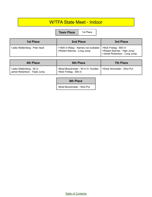#### W/TFA State Meet - Indoor

**Team Place** | 1st Place

| <b>1st Place</b>              | 2nd Place                                                          | 3rd Place                                                                            |
|-------------------------------|--------------------------------------------------------------------|--------------------------------------------------------------------------------------|
| >Jake Wallenfang - Pole Vault | >1600 m Relay - Names not available<br>>Robert Starnes - Long Jump | >Nick Freitag - 800 m<br>>Robert Starnes - High Jump<br>>Jamel Robertson - Long Jump |

| <b>4th Place</b>                                         | <b>6th Place</b>                                            | <b>7th Place</b>                 |
|----------------------------------------------------------|-------------------------------------------------------------|----------------------------------|
| >Jake Wallenfang - 55 m<br>Jamel Robertson - Triple Jump | >Brad Boockmeier - 55 m H. Hurdles<br>>Nick Freitag - 400 m | Solie >Drew Schneider - Shot Put |

#### **8th Place**

>Brad Boockmeier - Shot Put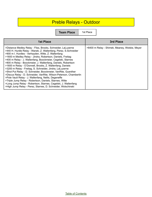## Preble Relays - Outdoor

**Team Place** | 1st Place

| <b>1st Place</b>                                                                                                                                                                                                                                                                                                                                                                                                                                                                                                                                                                                                                                                                                                                                                                                                                                                                                         | 3rd Place                                     |
|----------------------------------------------------------------------------------------------------------------------------------------------------------------------------------------------------------------------------------------------------------------------------------------------------------------------------------------------------------------------------------------------------------------------------------------------------------------------------------------------------------------------------------------------------------------------------------------------------------------------------------------------------------------------------------------------------------------------------------------------------------------------------------------------------------------------------------------------------------------------------------------------------------|-----------------------------------------------|
| >Distance Medley Relay - Fliss, Brooks, Schneider, LaLuzerne<br>>440 H. Hurdle Relay - Wanek, Z. Wallenfang, Perez, S.Schneider<br>>900 m I. Hurdles - Verhayden, Witte, Z. Wallenfang<br>>1600 m Medley Relay - Jindra, Robertson, Daniels, Freitag<br>>400 m Relay - J. Wallenfang, Boockmeier, Cegelski, Starnes<br>>800 m Relay - Boockmeier, J. Wallenfang, Daniels, Robertson<br>>1600 m Relay - O'Donnell, Brooks, Z. Wallenfang, Daniels<br>>3200 m Relay - Freitag, S. Schneider, Jindra, LaLuzerne<br>>Shot Put Relay - D. Schneider, Boockmeier, VanRite, Guenther<br>>Discus Relay - D. Schneider, VanRite, Wilson-Peterson, Chamberlin<br>>Pole Vault Relay - J. Wallenfang, Nellis, Degeneffe<br>>Triple Jump Relay - Robertson, Daniels, Starnes, Witte<br>>Long Jump Relay - Robertson, Starnes, Cegelski, J. Wallenfang<br>>High Jump Relay - Perez, Starnes, D. Schneider, Wolschinski | >6400 m Relay - Shimek, Meaney, Wolske, Meyer |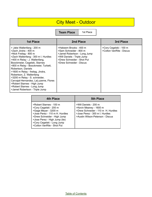## City Meet - Outdoor

**Team Place** | 1st Place

| <b>1st Place</b>                                                                                                                                                                                                                                                                                                                                                                                                                                                                           | 2nd Place                                                                                                                                                                 | 3rd Place                                          |
|--------------------------------------------------------------------------------------------------------------------------------------------------------------------------------------------------------------------------------------------------------------------------------------------------------------------------------------------------------------------------------------------------------------------------------------------------------------------------------------------|---------------------------------------------------------------------------------------------------------------------------------------------------------------------------|----------------------------------------------------|
| > Jake Wallenfang - 200 m<br>>Zach Jindra - 400 m<br>>Nick Freitag - 800 m<br>>Zach Wallenfang - 300 m I. Hurdles<br>>400 m Relay - J. Wallenfang,<br>Boockmeier, Cegelski, Starnes<br>>800 m Relay - Boockmeier, Turbett,<br>Robertson, Daniels<br>>1600 m Relay - freitag, Jindra,<br>Robertson, Z. Wallenfang<br>>3200 m Relay - S. schneider,<br>Carvajal-Hernandez, LaLuzerne, Flores<br>>Robert Starnes - High Jump<br>>Robert Starnes - Long Jump<br>>Jamel Robertson - Triple Jump | >Hakeem Brooks - 400 m<br>>Sam Schneider - 800 m<br>>Jamel Robertson - Long Jump<br>>Will Daniels - Triple Jump<br>>Drew Schneider - Shot Put<br>>Drew Schneider - Discus | >Cory Cegelski - 100 m<br>>Colton VanRite - Discus |

| <b>4th Place</b>                                                                                                                                                                                                                        | <b>5th Place</b>                                                                                                                                            |
|-----------------------------------------------------------------------------------------------------------------------------------------------------------------------------------------------------------------------------------------|-------------------------------------------------------------------------------------------------------------------------------------------------------------|
| >Robert Starnes - 100 m<br>>Cory Cegelski - 200 m<br>>Gage Meyer - 3200 m<br>>Jose Perez - 110 m H. Hurdles<br>>Drew Schneider - High Jump<br>>Jose Perez - High Jump (tie)<br>>Cory Cegelski - Long Jump<br>>Colton VanRite - Shot Put | >Will Daniels - 200 m<br>>Kevin Meaney - 1600 m<br>>Drew Schneider - 110 m H. Hurdles<br>>Jose Perez - 300 m I. Hurdles<br>>Austin Wilson-Peterson - Discus |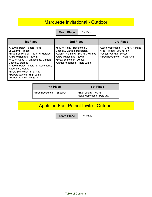### Marquette Invitational - Outdoor

**Team Place** | 1st Place

| 1st Place                                                                                                                                                                                                                                                                                                                                          | 2nd Place                                                                                                                                                                                   | 3rd Place                                                                                                                    |
|----------------------------------------------------------------------------------------------------------------------------------------------------------------------------------------------------------------------------------------------------------------------------------------------------------------------------------------------------|---------------------------------------------------------------------------------------------------------------------------------------------------------------------------------------------|------------------------------------------------------------------------------------------------------------------------------|
| >3200 m Relay - Jindra, Fliss,<br>LaLuzerne, Freitag<br>>Brad Boockmeier - 110 m H. Hurdles<br>>Jake Wallenfang - 100 m<br>>400 m Relay - J. Wallenfang, Daniels,<br>Cegelski, Starnes<br>>1600 m Relay - Jindra, Z. Wallenfang,<br>Robertson, Freitag<br>>Drew Schneider - Shot Put<br>>Robert Starnes - High Jump<br>>Robert Starnes - Long Jump | >800 m Relay - Boockmeier,<br>Cegelski, Daniels, Robertson<br>>Zach Wallenfang - 300 m I. Hurdles<br>>Jake Wallenfang - 200 m<br>>Drew Schneider - Discus<br>>Jamel Robertson - Triple Jump | >Zach Wallenfang - 110 m H. Hurdles<br>>Nick Freitag - 800 m Run<br>>Colton VanRite - Discus<br>>Brad Boockmeier - High Jump |

| 4th Place                   | <b>5th Place</b>                                                   |
|-----------------------------|--------------------------------------------------------------------|
| >Brad Boockmeier - Shot Put | >Zach Jindra - 400 m<br><sup>1</sup> >Jake Wallenfang - Pole Vault |

## Appleton East Patriot Invite - Outdoor

**Team Place** | 1st Place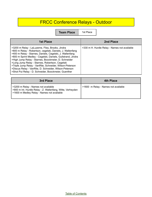## FRCC Conference Relays - Outdoor

**Team Place** | 1st Place

| <b>1st Place</b>                                                                                                                                                                                                                                                                                                                                                                                                                                                                                                                    | 2nd Place                                    |
|-------------------------------------------------------------------------------------------------------------------------------------------------------------------------------------------------------------------------------------------------------------------------------------------------------------------------------------------------------------------------------------------------------------------------------------------------------------------------------------------------------------------------------------|----------------------------------------------|
| >3200 m Relay - LaLuzerne, Fliss, Brooks, Jindra<br>>800 m Relay - Robertson, cegelski, Daniels, J. Wallenfang<br>>400 m Relay - Starnes, Daniels, Cegelski, J. Wallenfang<br>>800 m Sprint Medley - Cegelski, Daniels, Gullstrand, Jindra<br>>High Jump Relay - Starnes, Boockmeier, D. Schneider<br>>Long Jump Relay - Starnes, Robertson, Cegelski<br>>Triple Jump Relay - VanRite, Schneider, Wilson-Peterson<br>>Discus Relay - VanRite, D. Schneider, Wilson-Peterson<br>>Shot Put Relay - D. Schneider, Boockmeier, Guenther | >330 m H. Hurdle Relay - Names not available |

| 3rd Place                                                                                                                                       | <b>4th Place</b>                    |
|-------------------------------------------------------------------------------------------------------------------------------------------------|-------------------------------------|
| >3200 m Relay - Names not available<br>>900 m Int. Hurdle Relay - Z. Wallenfang, Witte, Verheyden<br>>1600 m Medley Relay - Names not available | >1600 m Relay - Names not available |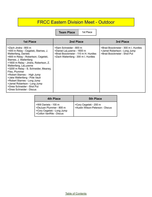### FRCC Eastern Division Meet - Outdoor

**Team Place** | 1st Place

| <b>1st Place</b>                                                                                                                                                                                                                                                                                                                                                                                                                                                           | 2nd Place                                                                                                                          | 3rd Place                                                                                          |
|----------------------------------------------------------------------------------------------------------------------------------------------------------------------------------------------------------------------------------------------------------------------------------------------------------------------------------------------------------------------------------------------------------------------------------------------------------------------------|------------------------------------------------------------------------------------------------------------------------------------|----------------------------------------------------------------------------------------------------|
| >Zach Jindra - 800 m<br>>400 m Relay - Cegelski, Starnes, J.<br>Wallenfang, Daniels<br>>800 m Relay - Robertson, Cegelski,<br>Starnes, J. Wallenfang<br>>1600 m Relay - Jindra, Robertson, Z.<br>Wallenfang, LaLuzerne<br>>3200 m Relay - S. Schneider, Meaney,<br>Fliss, Plummer<br>>Robert Starnes - High Jump<br>>Jake Wallenfang - Pole Vault<br>>Robert Starnes - Long Jump<br>>Jamel Robertson - Long Jump<br>>Drew Schneider - Shot Put<br>>Drew Schneider - Discus | >Sam Schneider - 800 m<br>>Daniel LaLuzerne - 1600 m<br>>Brad Boockmeier - 110 m H. Hurdles<br>>Zach Wallenfang - 300 m I. Hurdles | >Brad Boockmeier - 300 m I. Hurdles<br>>Jamel Robertson - Long Jump<br>>Brad Boockmeier - Shot Put |

| 4th Place                                                                                                  | <b>5th Place</b>                                           |
|------------------------------------------------------------------------------------------------------------|------------------------------------------------------------|
| >Will Daniels - 100 m<br>>DeJuan Plummer - 800 m<br>>Cory Cegelski - Long Jump<br>>Colton VanRite - Discus | >Cory Cegelski - 200 m<br>>Austin Wilson-Peterson - Discus |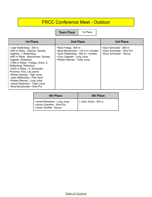### FRCC Conference Meet - Outdoor

**Team Place** | 1st Place

| <b>1st Place</b>                                                                                                                                                                                                                                                                                                                                                                                                                                    | 2nd Place                                                                                                                                                          | 3rd Place                                                                        |
|-----------------------------------------------------------------------------------------------------------------------------------------------------------------------------------------------------------------------------------------------------------------------------------------------------------------------------------------------------------------------------------------------------------------------------------------------------|--------------------------------------------------------------------------------------------------------------------------------------------------------------------|----------------------------------------------------------------------------------|
| >Jake Wallenfang - 200 m<br>>400 m Relay - Starnes, Daniels,<br>Cegelski, J. Wallenfang<br>>800 m Relay - Boockmeier, Daniels,<br>Cegelski, Robertson<br>>1600 m Relay - Freitag, Jindra, Z.<br>Wallenfang, Robertson<br>>3200 m Relay - S. Schneider,<br>Plummer, Fliss, LaLuzerne<br>>Robert Starnes - High Jump<br>>Jake Wallenfang - Pole Vault<br>>Robert Starnes - Long Jump<br>>Jamel Robertson - Triple Jump<br>>Brad Boockmeier - Shot Put | >Nick Freitag - 800 m<br>>Brad Boockmeier - 110 m H. Hurdles<br>>Zach Wallenfang - 300 m I. Hurdles<br>>Cory Cegelski - Long Jump<br>>Robert Starnes - Triple Jump | >Sam Schneider - 800 m<br>>Drew Schneider - Shot Put<br>>Drew Schneider - Discus |

| 4th Place                                                                              | <b>5th Place</b>      |
|----------------------------------------------------------------------------------------|-----------------------|
| Sumel Robertson - Long Jump<br>>Jacob Guenther - Shot Put<br>  >Jacob VanRite - Discus | > Zach Jindra - 400 m |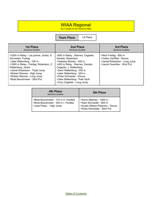#### WIAA Regional

Top 4 qualify for the Sectional Meet

**Team Place** | 1st Place

| <b>1st Place</b>                                                                                                                                                                                                                                                                       | 2nd Place                                                                                                                                                                                                                                                                                           | 3rd Place                                                                                                       |
|----------------------------------------------------------------------------------------------------------------------------------------------------------------------------------------------------------------------------------------------------------------------------------------|-----------------------------------------------------------------------------------------------------------------------------------------------------------------------------------------------------------------------------------------------------------------------------------------------------|-----------------------------------------------------------------------------------------------------------------|
| <b>Sectional Qualifier</b>                                                                                                                                                                                                                                                             | <b>Sectional Qualifier</b>                                                                                                                                                                                                                                                                          | <b>Sectional Qualifier</b>                                                                                      |
| >3200 m Relay - LaLuzerne, Jindra, S.<br>Schneider, Freitag<br>>Jake Wallenfang - 100 m<br>>1600 m Relay - Freitag, Robertson, Z.<br>Wallenfang, Jindra<br>>Jamel Robertson - Triple Jump<br>>Robert Starnes - High Jump<br>>Robert Starnes - Long Jump<br>>Brad Boockmeier - Shot Put | >800 m Relay - Starnes, Cegelski,<br>Daniels, Robertson<br>>Hakeem Brooks - 400 m<br>>400 m Relay - Starnes, Daniels,<br>Cegelski, J. Wallenfang<br>>Zach Wallenfang - 200 m<br>>Jake Wallenfang - 200 m<br>>Drew Schneider - Discus<br>>Jake Wallenfang - Pole Vault<br>>Cory Cegelski - Long Jump | >Nick Freitag - 800 m<br>>Colton VanRite - Discus<br>>Jamel Robertson - Long Jump<br>>Jacob Guenther - Shot Put |

| 4th Place<br><b>Sectional Qualifier</b>                                                               | <b>5th Place</b>                                                                                                   |
|-------------------------------------------------------------------------------------------------------|--------------------------------------------------------------------------------------------------------------------|
| >Brad Boockmeier - 110 m H. Hurdles<br>>Brad Boockmeier - 300 m I. Hurdles<br>>Jose Perez - High Jump | >Kevin Meaney - 1600 m<br>>Sam Schneider - 800 m<br>>Austin Wilson-Peterson - Discus<br>>Drew Schneider - Shot Put |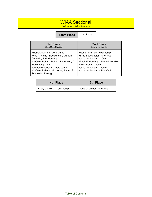#### WIAA Sectional

Top 3 advance to the State Meet

**Team Place** 1st Place

| <b>1st Place</b>                                                                                                                                                                                                                                               | 2nd Place                                                                                                                                                                                                           |
|----------------------------------------------------------------------------------------------------------------------------------------------------------------------------------------------------------------------------------------------------------------|---------------------------------------------------------------------------------------------------------------------------------------------------------------------------------------------------------------------|
| <b>State Meet Qualifier</b>                                                                                                                                                                                                                                    | <b>State Meet Qualifier</b>                                                                                                                                                                                         |
| >Robert Starnes - Long Jump<br>>400 m Relay - Boockmeier, Daniels,<br>Cegelski, J. Wallenfang<br>>1600 m Relay - Freitag, Robertson, Z.<br>Wallenfang, Jindra<br>>Jamel Robertson - Triple Jump<br>>3200 m Relay - LaLuzerne, Jindra, S.<br>Schneider, Freitag | >Robert Starnes - High Jump<br>>Brad Boockmeier - Shot Put<br>>Jake Wallenfang - 100 m<br>>Zach Wallenfang - 300 m I. Hurdles<br>>Nick Freitag - 800 m<br>>Jake Wallenfang - 200 m<br>>Jake Wallenfang - Pole Vault |

| <b>4th Place</b>           | <b>5th Place</b>          |
|----------------------------|---------------------------|
| Scory Cegelski - Long Jump | Jacob Guenther - Shot Put |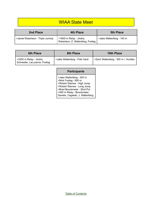### WIAA State Meet

| 2nd Place                       | 4th Place                                                    | <b>5th Place</b>         |
|---------------------------------|--------------------------------------------------------------|--------------------------|
| >Jamel Robertson - Triple Jummp | >1600 m Relay - Jindra,<br>Robertson, Z. Wallenfang, Freitag | >Jake Wallenfang - 100 m |

| <b>6th Place</b>                                         | 8th Place                     | <b>10th Place</b>                   |
|----------------------------------------------------------|-------------------------------|-------------------------------------|
| >3200 m Relay - Jindra,<br>Schneider, LaLuzerne, Freitag | >Jake Wallenfang - Pole Vault | >Zach Wallenfang - 300 m I. Hurdles |

#### **Participants**

>Jake Wallenfang - 200 m >Nick Freitag - 800 m >Robert Starnes - High Jump >Robert Starnes - Long Jump >Brad Boockmeier - Shot Put >400 m Relay - Boockmeier, Daniels, Cegelski, J. Wallenfang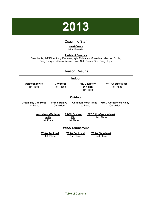

#### Coaching Staff

#### **Head Coach** Nick Marcelle

<span id="page-44-0"></span>**Assistant Coaches** Dave Loritz, Jeff Kline, Andy Fameree, Kyle McMahan, Steve Marcelle, Jon Doble, Greg Pierquet, Alyssa Racine, Lloyd Nell, Casey Bins, Greg Hopp

#### Season Results

|                                         |                                   | <b>Indoor</b>                                       |                                           |  |
|-----------------------------------------|-----------------------------------|-----------------------------------------------------|-------------------------------------------|--|
| <b>Oshkosh Invite</b><br>1st Place      | <b>City Meet</b><br>1st Place     | <b>FRCC Eastern</b><br><b>Division</b><br>1st Place | <b>W/TFA State Meet</b><br>1st Place      |  |
|                                         |                                   | <b>Outdoor</b>                                      |                                           |  |
| <b>Green Bay City Meet</b><br>1st Place | <b>Preble Relays</b><br>Cancelled | <b>Oshkosh North Invite</b><br>1st Place            | <b>FRCC Conference Relay</b><br>Cancelled |  |
| <b>Arrowhead-Myrhum</b>                 |                                   | <b>FRCC Eastern</b>                                 | <b>FRCC Conference Meet</b>               |  |
| <u>Invite</u><br>1st Place              |                                   | <u>Div</u><br>1st Place                             | 1st Place                                 |  |
|                                         |                                   | <b>WIAA Tournament</b>                              |                                           |  |
|                                         | <b>WIAA Regional</b><br>1st Place | <b>WIAA Sectional</b><br>1st Place                  | <b>WIAA State Meet</b><br>2nd Place       |  |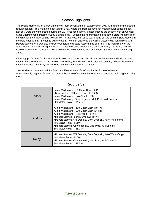#### Season Highlights

The Preble Hornets Men's Track and Field Team continued their excellence in 2013 with another undefeated regular season. This marks the 4th year in a row where the Hornets have not lost a regular season meet. Not only were they undefeated during the 2013 season but they almost finished the season with an Outdoor State Championship missing out by a single point. Despite the heartbreaking loss at the State Meet the men certainly left their mark setting two Division I State Records. Jake Wallenfang set the all time State Record in the Pole Vault with a 16' vault to win the event. He then anchored the 4x100 Meter Relay Team along with Robert Starnes, Will Daniels, and Cory Cegelski to a State Record time of 41.50. The men also won the State Indoor Title dominating the meet. The team of Jake Wallenfang, Cory Cegelski, Matt Pratt, and Will Daniels won the 4x200 Relay. Jake also won the Pole Vault as well and Robert Starnes winning the Long Jump.

Other top performers for the men were Daniel LaLuzerne, and Nick Freitag in the middle and long distance events, Zach Wallenfang in the hurdles and relays, Bennett Krueger in distance events, DeJuan Plummer in middle distance, and Riley VandenPlas and Randy Bialchik in the Vault.

Jake Wallenfang was named the Track and Field Athlete of the Year for the State of Wisconsin. About the only negative for the season was because of weather, 5 meets were cancelled including both relay meets.

| Indoor  | >Jake Wallenfang - 55 Meter Dash (6.41)<br>>Nick Freitag - 800 Meter Run (1:58.23)<br>>Jake Wallenfang - Pole Vault (15' 6")<br>>Jake Wallenfang, Cory Cegelski, Matt Pratt, Will Daniels -<br>800 Meter Relay (1:31.71)                                                                                                                                                 |
|---------|--------------------------------------------------------------------------------------------------------------------------------------------------------------------------------------------------------------------------------------------------------------------------------------------------------------------------------------------------------------------------|
| Outdoor | >Jake Wallenfang - 100 Meter Dash (10.77)<br>>Jake Wallenfang - 200 Meter Dash (21.81)<br>>Jake Wallenfang - Pole Vault (16' 1/2")<br>>Robert Starnes - Long Jump (22' 10 1/2")<br>>Robert Starnes, Will Daniels, Cory Cegelski, Jake Wallenfang -<br>400 Meter Relay (41.50)<br>>Robert Starnes, Cory cegelski, Matt Pratt, Will Daniels -<br>800 Meter Relay (1:28.73) |
| Relay   | >Robert Starnes, Will Daniels, Cory Cegelski, Jake Wallenfang -<br>400 Meter Relay (41.50)<br>>Robert Starnes, Cory cegelski, Matt Pratt, Will Daniels -<br>800 Meter Relay (1:28.73)                                                                                                                                                                                    |

#### Records Set

Table of [Contents](#page-1-0)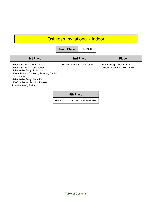## Oshkosh Invitational - Indoor

**Team Place** | 1st Place

| <b>1st Place</b>                                                                                                                                                                                                                                         | 2nd Place                   | 4th Place                                                 |
|----------------------------------------------------------------------------------------------------------------------------------------------------------------------------------------------------------------------------------------------------------|-----------------------------|-----------------------------------------------------------|
| >Robert Starnes - High Jump<br>>Robert Starnes - Long Jump<br>>Jake Wallenfang - Pole Vault<br>>800 m Relay - Cegelski, Starnes, Daniels,<br>J. Wallenfang<br>>Jake Wallenfang - 60 m Dash<br>>1600 m Relay - Brooks, Daniels,<br>Z. Wallenfang, Freitag | >Robert Starnes - Long Jump | >Nick Freitag - 1600 m Run<br>>DeJaun Plummer - 800 m Run |

#### **5th Place**

>Zack Wallenfang - 60 m High Hurdles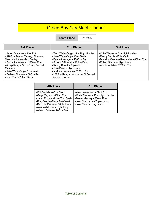## Green Bay City Meet - Indoor

**Team Place** 1st Place

| <b>1st Place</b>                                                                                                                                                                                                                                                                       | 2nd Place                                                                                                                                                                                                                                                                                      | 3rd Place                                                                                                                                                                |
|----------------------------------------------------------------------------------------------------------------------------------------------------------------------------------------------------------------------------------------------------------------------------------------|------------------------------------------------------------------------------------------------------------------------------------------------------------------------------------------------------------------------------------------------------------------------------------------------|--------------------------------------------------------------------------------------------------------------------------------------------------------------------------|
| >Jacob Guenther - Shot Put<br>>3200 m Relay - Massey, Plummer,<br>Caravajal-Hernandez, Freitag<br>>Daniel LaLuzerne - 1600 m Run<br>>4 Lap Relay - Cody, Pratt, Prevost,<br><b>Manders</b><br>>Jake Wallenfang - Pole Vault<br>>DeJaun Plummer - 800 m Run<br>>Matt Pratt - 200 m Dash | >Zack Wallenfang - 45 m High Hurdles<br>>Jake Wallenfang - 45 m Dash<br>>Bennett Krueger - 1600 m Run<br>>Shawn O'Donnell - 400 m Dash<br>>Randy Bialcik - Triple Jump<br>>Jose Perez - High Jump<br>>Andrew Holzmann - 3200 m Run<br>>1600 m Relay - LaLuzerne, O'Donnell,<br>Daniels, Orozco | >Colin Wanek - 45 m High Hurdles<br>>Randy Bialcik - Pole Vault<br>>Brandon Carvajal-Hernandez - 800 m Run<br>>Robert Starnes - High Jump<br>>Austin Wolske - 3200 m Run |

| <b>4th Place</b>                                                                                                                                                                                                           | <b>5th Place</b>                                                                                                                                         |
|----------------------------------------------------------------------------------------------------------------------------------------------------------------------------------------------------------------------------|----------------------------------------------------------------------------------------------------------------------------------------------------------|
| >Will Daniels - 45 m Dash<br>>Gage Meyer - 1600 m Run<br>>Jared Roznowski - 400 m Dash<br>>Riley VandenPlas - Pole Vault<br>>Devonte Pinckey - Triple Jump<br>>Alex Walshinski - High Jump<br>>Alberto Orozco - 200 m Dash | >Alex Heimerman - Shot Put<br>>Chris Thomas - 45 m High Hurdles<br>>Daniel Massey - 800 m Run<br>>Josh Coulombe - Triple Jump<br>>Jose Perez - Long Jump |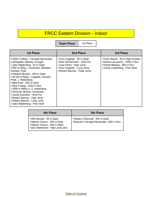## FRCC Eastern Division - Indoor

**Team Place** | 1st Place

| <b>1st Place</b>                                                                                                                                                                                                                                                                                                                                                                                                                                                                                                 | 2nd Place                                                                                                                                           | 3rd Place                                                                                                                          |
|------------------------------------------------------------------------------------------------------------------------------------------------------------------------------------------------------------------------------------------------------------------------------------------------------------------------------------------------------------------------------------------------------------------------------------------------------------------------------------------------------------------|-----------------------------------------------------------------------------------------------------------------------------------------------------|------------------------------------------------------------------------------------------------------------------------------------|
| >3200 m Relay - Carvajal-Hernandez,<br>LaChapelle, Massey, Krueger<br>>Jake Wallenfang - 55 m Dash<br>>800 m Relay - Coulombe, Manders,<br>Daniels, Pratt<br>>Hakeem Brooks - 400 m Dash<br>>4x160 m Relay - Cegelski, Daniels,<br>Pratt, J. Wallenfang<br>>Matt Pratt - 200 m Dash<br>>Nick Freitag - 3200 m Run<br>>1600 m Relay o- Z. wallenfang,<br>O'Donnell, Brooks, Coulombe<br>>Jacob Guenther - Shot Put<br>>Robert Starnes - High Jump<br>>Robert Starnes - Long Jump<br>>Jake Wallenfang - Pole Vault | >Cory Cegelski - 55 m Dash<br>>Alex Heimermann - Shot Put<br>>Jose Perez - High Jump<br>>Cory Cegelski - Long Jump<br>>Robert Starnes - Triple Jump | >Colin Wanek - 55 m High Hurdles<br>>Daniel LaLuzerne - 1600 m Run<br>>Daniel Massey - 800 m Run<br>>Jacob Laufenberg - Pole Vault |

| 4th Place                                                                                                                       | <b>5th Place</b>                                                         |
|---------------------------------------------------------------------------------------------------------------------------------|--------------------------------------------------------------------------|
| >Will Daniels - 55 m Dash<br>>Alberto Orozco - 400 m Dash<br>>Alberto Orazco - 200 m Dash<br>>alex Walshinski - High Jump (tie) | >Shawn O'Donnell - 400 m Dash<br>>Brandon Carvajal-Hernandez - 800 m Run |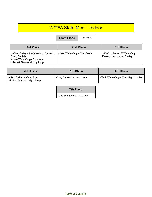### W/TFA State Meet - Indoor

**Team Place** 1st Place

| 1st Place                                                                                                                 | 2nd Place                    | 3rd Place                                                    |
|---------------------------------------------------------------------------------------------------------------------------|------------------------------|--------------------------------------------------------------|
| >800 m Relay - J. Wallenfang, Cegelski,<br>Pratt, Daniels<br>>Jake Wallenfang - Pole Vault<br>>Robert Starnes - Long Jump | >Jake Wallenfang - 55 m Dash | >1600 m Relay - Z Wallenfang,<br>Daniels, LaLuzerne, Freitag |

| <b>4th Place</b>                                         | <b>5th Place</b>           | <b>6th Place</b>                     |
|----------------------------------------------------------|----------------------------|--------------------------------------|
| >Nick Freitag - 800 m Run<br>>Robert Starnes - High Jump | >Cory Cegelski - Long Jump | >Zack Wallenfang - 55 m High Hurdles |

>Jacob Guenther - Shot Put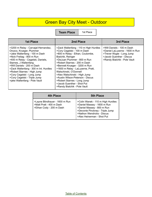## Green Bay City Meet - Outdoor

**Team Place** | 1st Place

| 1st Place                                                                                                                                                                                                                                                                                                                                                                                        | 2nd Place                                                                                                                                                                                                                                                                                                                                                                                                                                                     | 3rd Place                                                                                                                                             |
|--------------------------------------------------------------------------------------------------------------------------------------------------------------------------------------------------------------------------------------------------------------------------------------------------------------------------------------------------------------------------------------------------|---------------------------------------------------------------------------------------------------------------------------------------------------------------------------------------------------------------------------------------------------------------------------------------------------------------------------------------------------------------------------------------------------------------------------------------------------------------|-------------------------------------------------------------------------------------------------------------------------------------------------------|
| >3200 m Relay - Carvajal-Hernandez,<br>Orozco, Krueger, Plummer<br>>Jake Wallenfang - 100 m Dash<br>>Nick Freitag - 800 m Run<br>>400 m Relay - Cegelski, Daniels,<br>Starnes, J Wallenfang<br>>Will Daniels - 200 m Dash<br>>Zack Wallenfang - 300 m Int. Hurdles<br>>Robert Starnes - High Jump<br>>Cory Cegelski - Long Jump<br>>Cory Cegelski - Triple Jump<br>>jake Wallenfang - Pole Vault | >Zack Wallenfang - 110 m High Hurdles<br>>Cory Cegelski - 100 m Dash<br>>800 m Relay - Ethan, Coulombe,<br>Bialchik, Reinger<br>>DeJuan Plummer - 800 m Run<br>>Robert Starnes - 200 m Dash<br>>Bennett Krueger - 3200 m Run<br>>1600 m Relay - LaLuzerne, Pratt,<br>Walschinski, O'Donnell<br>>Alex Walschinski - High Jump<br>>Austin Wilson-Peterson - Discus<br>>Robert Starnes - Long Jump<br>>Jacob Guenther - Shot Put<br>>Randy Bialchik - Pole Vault | >Will Daniels - 100 m Dash<br>>Daniel LaLuzerne - 1600 m Run<br>>Trever Wygle - Long Jump<br>>Jacob Guenther - Discus<br>>Randy Bialchik - Pole Vault |

| 4th Place                                                                              | <b>5th Place</b>                                                                                                                                                                              |
|----------------------------------------------------------------------------------------|-----------------------------------------------------------------------------------------------------------------------------------------------------------------------------------------------|
| >Layne Blindhauer - 1600 m Run<br>>Matt Pratt - 400 m Dash<br>>Ethan Cody - 200 m Dash | >Colin Wanek - 110 m High Hurdles<br>>Daniel Massey - 1600 m Run<br>>Daniel Massey - 800 m Run<br>>Devonte Pinckney - Triple Jump<br>>Nathon Wendricks - Discus<br>>Alex Heinerman - Shot Put |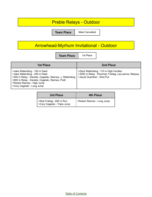### Preble Relays - Outdoor

**Team Place** Meet Cancelled

## Arrowhead-Myrhum Invitational - Outdoor

| <b>Team Place</b> |
|-------------------|
|                   |

**1st Place** 

| <b>1st Place</b>                                                                                                                                                                                                                            | 2nd Place                                                                                                                  |
|---------------------------------------------------------------------------------------------------------------------------------------------------------------------------------------------------------------------------------------------|----------------------------------------------------------------------------------------------------------------------------|
| >Jake Wallenfang - 100 m Dash<br>>Jake Wallenfang - 200 m Dash<br>>400 m Relay - Daniels, Cegelski, Starnes, J. Wallenfang<br>>800 m Relay - Daniels, Cegelski, Starnes, Pratt<br>>Robert Starnes - High Jump<br>>Cory Cegelski - Long Jump | >Zack Wallenfang - 110 m High Hurdles<br>>3200 m Relay - Plummer, Freitag, LaLuzerne, Massey<br>>Jacob Guenther - Shot Put |

| 3rd Place                                                 | 4th Place                   |
|-----------------------------------------------------------|-----------------------------|
| >Nick Freitag - 800 m Run<br>>Cory Cegelski - Triple Jump | >Robert Starnes - Long Jump |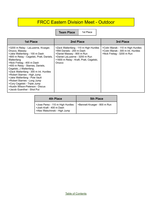#### FRCC Eastern Division Meet - Outdoor

**Team Place** | 1st Place

| <b>1st Place</b>                                                                                                                                                                                                                                                                                                                                                                                                                                                                       | 2nd Place                                                                                                                                                                                | 3rd Place                                                                                            |
|----------------------------------------------------------------------------------------------------------------------------------------------------------------------------------------------------------------------------------------------------------------------------------------------------------------------------------------------------------------------------------------------------------------------------------------------------------------------------------------|------------------------------------------------------------------------------------------------------------------------------------------------------------------------------------------|------------------------------------------------------------------------------------------------------|
| >3200 m Relay - LaLuzerne, Krueger,<br>Orozco, Massey<br>>Jake Wallenfang - 100 m Dash<br>>800 m Relay - Cegelski, Pratt, Daniels,<br>Wallenfang<br>>Nick Freitag - 400 m Dash<br>>400 m Relay - Starnes, Daniels,<br>Cegelski, J Wallenfang<br>>Zack Wallenfang - 300 m Int. Hurdles<br>>Robert Starnes - High Jump<br>>Jake Wallenfang - Pole Vault<br>>Robert Starnes - Long Jump<br>>Cory Cegelski - Triple Jump<br>>Austin Wilson-Peterson - Discus<br>>Jacob Guenther - Shot Put | >Zack Wallenfang - 110 m High Hurdles<br>>Will Daniels - 200 m Dash<br>>Daniel Massey - 800 m Run<br>>Daniel LaLuzerne - 3200 m Run<br>>1600 m Relay - Kraft, Pratt, Cegelski,<br>Orozco | >Colin Wanek - 110 m High Hurdles<br>>Colin Wanek - 300 m Int. Hurdles<br>>Nick Freitag - 3200 m Run |

| 4th Place                                                                                     | <b>5th Place</b>             |
|-----------------------------------------------------------------------------------------------|------------------------------|
| >Jose Perez - 110 m High Hurdles<br>>Josh Kraft - 400 m Dash<br>>Alex Walschinski - High Jump | >Bennett Krueger - 800 m Run |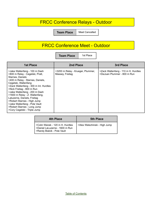### FRCC Conference Relays - Outdoor

**Team Place** | Meet Cancelled

## FRCC Conference Meet - Outdoor

**Team Place** | 1st Place

| <b>1st Place</b>                                                                                                                                                                                                                                                                                                                                                                                                                                        | 2nd Place                                            | 3rd Place                                                          |
|---------------------------------------------------------------------------------------------------------------------------------------------------------------------------------------------------------------------------------------------------------------------------------------------------------------------------------------------------------------------------------------------------------------------------------------------------------|------------------------------------------------------|--------------------------------------------------------------------|
| >Jake Wallenfang - 100 m Dash<br>>800 m Relay - Cegelski, Pratt,<br>Starnes, Daniels<br>>400 m Relay - Starnes, Daniels,<br>Cegelski, Wallenfang<br>>Zack Wallenfang - 300 m Int. Hurdles<br>>Nick Freitag - 800 m Run<br>>Jake Wallenfang - 200 m Dash<br>>1600 m Relay - Z. Wallenfang,<br>Laluzerne, Daniels, Freitag<br>>Robert Starnes - High Jump<br>>Jake Wallenfang - Pole Vault<br>>Robert Starnes - Long Jump<br>>Cory Cegelski - Triple Jump | >3200 m Relay - Krueger, Plummer,<br>Massey, Freitag | >Zack Wallenfang - 110 m H. Hurdles<br>>DeJuan Plummer - 800 m Run |

| 4th Place                                                                                          | <b>5th Place</b>              |
|----------------------------------------------------------------------------------------------------|-------------------------------|
| >Colin Wanek - 120 m H. Hurdles<br>  >Daniel LaLuzerne - 1600 m Run<br>>Randy Bialcik - Pole Vault | >Alex Walschinski - High Jump |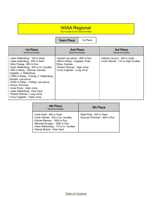#### WIAA Regional

Top 4 qualify for the Sectional Meet

|                                                                                                                                                                                                                                                                                                                                                                                                                                                           | <b>Team Place</b>                                                                                                                               | 1st Place |                                                                   |
|-----------------------------------------------------------------------------------------------------------------------------------------------------------------------------------------------------------------------------------------------------------------------------------------------------------------------------------------------------------------------------------------------------------------------------------------------------------|-------------------------------------------------------------------------------------------------------------------------------------------------|-----------|-------------------------------------------------------------------|
| <b>1st Place</b><br><b>Sectional Qualifier</b>                                                                                                                                                                                                                                                                                                                                                                                                            | 2nd Place<br><b>Sectional Qualifier</b>                                                                                                         |           | 3rd Place<br><b>Sectional Qualifier</b>                           |
| >Jake Wallenfang - 100 m Dash<br>>Jake wallenfang - 200 m Dash<br>>Nick Freitag - 800 m Run<br>>Zack Wallenfang - 300 m Int. Hurdles<br>>400 m Relay - Starnes, Daniels,<br>Cegelski, J. Wallenfang<br>>1600 m Relay - Freitag, Z. Wallenfang,<br>Daniels, LaLuzerne<br>>3200 m Relay - Freitag, LaLuzerne,<br>Orozco, Plummer<br>>Jose Perez - High Jump<br>>Jake Wallenfang - Pole Vault<br>>Robert Starnes - Long Jump<br>>Cory Cegelski - Triple Jump | >Daniel LaLuzerne - 800 m Run<br>>800 m Relay - Cegelski, Pratt,<br>Ethan, Daniels<br>>Robert Starnes - High Jump<br>>Cory Cegelski - Long Jump |           | >Alberto Orozco - 400 m Dash<br>>Colin Wanek - 110 m High Hurdles |

| <b>4th Place</b><br><b>Sectional Qualifier</b>                                                                                                                                                      | <b>5th Place</b>                                        |
|-----------------------------------------------------------------------------------------------------------------------------------------------------------------------------------------------------|---------------------------------------------------------|
| >Josh Kraft - 400 m Dash<br>>Colin Wanek - 300 m Int. Hurdles<br>>Daniel Massey - 1600 m Run<br>>Bennett Krueger - 3200 m Run<br>>Zack Wallenfang - 110 m H. Hurdles<br>>Randy Bialcik - Pole Vault | >Matt Pratt - 200 m Dash<br>>DeJuan Plummer - 800 m Run |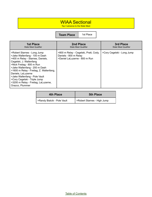## WIAA Sectional

Top 3 advance to the State Meet

**Team Place** 1st Place

| <b>1st Place</b>                                                                                                                                                                                                                                                                                                                                                                      | 2nd Place                                                                                       | 3rd Place                   |
|---------------------------------------------------------------------------------------------------------------------------------------------------------------------------------------------------------------------------------------------------------------------------------------------------------------------------------------------------------------------------------------|-------------------------------------------------------------------------------------------------|-----------------------------|
| <b>State Meet Qualifier</b>                                                                                                                                                                                                                                                                                                                                                           | <b>State Meet Qualifier</b>                                                                     | <b>State Meet Qualifier</b> |
| >Robert Starnes - Long Jump<br>>Jake Wallenfang - 100 m Dash<br>>400 m Relay - Starnes, Daniels,<br>Cegelski, J. Wallenfang<br>>Nick Freitag - 800 m Run<br>>Jake Wallenfang - 200 m Dash<br>>1600 m Relay - Freitag, Z. Wallenfang,<br>Daniels, LaLuzerne<br>>Jake Wallenfang - Pole Vault<br>>Cory Cegelski - Triple Jump<br>>3200 m Relay - Freitag, LaLuzerne,<br>Orazco, Plummer | >800 m Relay - Cegelski, Pratt, Cody,<br>Daniels - 800 m Relay<br>>Daniel LaLuzerne - 800 m Run | >Cory Cegelski - Long Jump  |

| <b>4th Place</b>            | <b>5th Place</b>            |
|-----------------------------|-----------------------------|
| SRandy Bialcik - Pole Vault | >Robert Starnes - High Jump |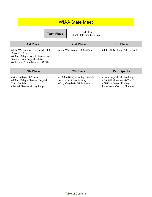#### WIAA State Meet

| <b>Team Place</b> |  |
|-------------------|--|
|                   |  |

**Team Place**<br>
Lost State Title by 1 Point

| <b>1st Place</b>                                                                                                                                                      | 2nd Place                     | 3rd Place                     |
|-----------------------------------------------------------------------------------------------------------------------------------------------------------------------|-------------------------------|-------------------------------|
| >Jake Wallenfang - Pole Vault (State<br>Record - 16 Feet)<br>>400 m Relay - Robert Starnes, Will<br>Daniels, Cory Cegelski, Jake<br>Wallenfang (State Record - 41.50) | >Jake Wallenfang - 200 m Dash | >Jake Wallenfang - 100 m Dash |

| <b>5th Place</b>                                                                                                | <b>7th Place</b>                                                                              | <b>Participants</b>                                                                                                   |
|-----------------------------------------------------------------------------------------------------------------|-----------------------------------------------------------------------------------------------|-----------------------------------------------------------------------------------------------------------------------|
| >Nick Freitag - 800 m Run<br>>800 m Relay - Starnes, Cegelski,<br>Pratt, Daniels<br>>Robert Starnes - Long Jump | >1600 m Relay - Freitag, Daniels,<br>LaLuzerne, Z. Wallenfang<br>>Cory Cegelski - Triple Jump | SCory Cegelski - Long Jump<br>>Daniel LaLuzerne - 800 m Run<br>>3200 m Relay - Freitag,<br>LaLuzerne, Orazco, Plummer |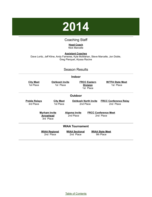

#### Coaching Staff

**Head Coach** Nick Marcelle

<span id="page-57-0"></span>**Assistant Coaches** Dave Loritz, Jeff Kline, Andy Fameree, Kyle McMahan, Steve Marcelle, Jon Doble, Greg Pierquet, Alyssa Racine

#### Season Results

#### **Indoor**

| <u>City Meet</u><br>1st Place     | <u>Oshkosh Invite</u><br>1st Place                    |                                    | <b>FRCC Eastern</b><br><b>Division</b><br>1st Place | <b>W/TFA State Meet</b><br>1st Place      |
|-----------------------------------|-------------------------------------------------------|------------------------------------|-----------------------------------------------------|-------------------------------------------|
|                                   |                                                       | <b>Outdoor</b>                     |                                                     |                                           |
| <b>Preble Relays</b><br>3rd Place | <b>City Meet</b><br>1st Place                         | <b>Oshkosh North Invite</b>        | 2nd Place                                           | <b>FRCC Conference Relay</b><br>2nd Place |
|                                   | <b>Myrham Invite</b><br><b>Arrowhead</b><br>3rd Place | <b>Algoma Invite</b><br>2nd Place  |                                                     | <b>FRCC Conference Meet</b><br>2nd Place  |
|                                   |                                                       | <b>WIAA Tournament</b>             |                                                     |                                           |
|                                   | <b>WIAA Regional</b><br>2nd Place                     | <b>WIAA Sectional</b><br>2nd Place |                                                     | <b>WIAA State Meet</b><br>9th Place       |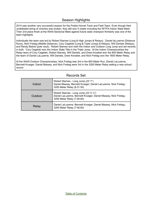#### Season Highlights

2014 saw another very successful season for the Preble Hornet Track and Field Team. Even though their undefeated string of victories was broken, they still won 5 meets including the W/TFA Indoor State Meet. Their 2nd place finish at the WIAA Sectional Meet against future state champion Kimberly was one of the team highlights.

Individually the team was led by Robert Starnes (Long & High Jumps & Relays) , Daniel laLuzerne (Distance Runs), Nick Freitag (Middle Distance), Cory Cegelski (Long & Triple Jumps & Relays), Will Daniels (Relays), and Randy Bialcik (pole vault). Robert Starnes won both the Indoor and Outdoor Long Jump and set records in both. Cory Cegelski won the Indoor State Title in the Triple Jump. At the Indoor Championships the Relay team of Cory Cegelski, Robert Starnes, Will Daniels, and Drew Knoebel won the 800 Meter Relay and the team of Daniel LaLuzerne, Will Daniels, Drew Knoebel, and Nick Freitag won the 1600 Meter Relay.

At the WIAA Outdoor Championships, Nick Freitag was 3rd in the 800 Meter Run, Daniel LaLuzerne, Bennett Krueger, Daniel Massey, and Nick Freitag were 3rd in the 3200 Meter Relay setting a new school record.

| Indoor  | Robert Starnes - Long Jump (23' 7")<br>Daniel Massey, Bennett Krueger, Daniel LaLuzerne, Nick Freitag -<br>3200 Meter Relay (8:31.50)                |
|---------|------------------------------------------------------------------------------------------------------------------------------------------------------|
| Outdoor | Robert Starnes - Long Jump (23' 5 $\frac{1}{4}$ ")<br>Daniel LaLuzerne, Bennett Krueger, Daniel Massey, Nick Freitag -<br>3200 Meter Relay (7:46.60) |
| Relay   | Daniel LaLuzerne, Bennett Krueger, Daniel Massey, Nick Freitag -<br>3200 Meter Relay (7:46.60)                                                       |

#### Records Set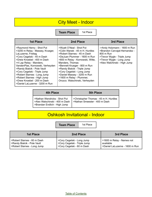### City Meet - Indoor

**Team Place** | 1st Place

| <b>1st Place</b>                                                                                                                                                                                                                                                                                                                                                                                            | 2nd Place                                                                                                                                                                                                                                                                                                                                                                   | 3rd Place                                                                                                                                                              |
|-------------------------------------------------------------------------------------------------------------------------------------------------------------------------------------------------------------------------------------------------------------------------------------------------------------------------------------------------------------------------------------------------------------|-----------------------------------------------------------------------------------------------------------------------------------------------------------------------------------------------------------------------------------------------------------------------------------------------------------------------------------------------------------------------------|------------------------------------------------------------------------------------------------------------------------------------------------------------------------|
| >Raymond Henry - Shot Put<br>>3200 m Relay - Massey, Krueger,<br>LaLuzerne, Freitag<br>>Cory Cegelski - 45 m Dash<br>>Drew Knoebel - 400 m Dash<br>>4 Lap Relay - Manders,<br>VandenPlas, Kornowski, Verheyden<br>>Randy Bialcik - Pole Vault<br>>Cory Cegelski - Triple Jump<br>>Robert Starnes - Long Jump<br>>Robert Starnes - High Jump<br>>Drew Knoebel - 200 m Dash<br>>Daniel LaLuzerne - 3200 m Run | >Wyatt O'Neal - Shot Put<br>>Colin Wanek - 45 m H. Hurdles<br>>Robert Starnes - 45 m Dash<br>>DeJuan Plummer - 1600 m Run<br>>800 m Relay - Kornowski, Witte,<br>Manders, Thomas<br>>Bennett Krueger - 800 m Run<br>>Randy Bialcik - Triple Jump<br>>Cory Cegelski - Long Jump<br>>Daniel Massey - 3200 m Run<br>>1600 m Relay - Plummer,<br>Orozco. Walschinski, Verheyden | ->Andy Holzmann - 1600 m Run<br>>Brandon Carvajal-Hernandez -<br>800 m Run<br>>Trevor Wygle - Triple Jump<br>>Trevor Wygle - Long Jump<br>>Alex Walchinski - High Jump |

| 4th Place                                                                                      | <b>5th Place</b>                                                       |
|------------------------------------------------------------------------------------------------|------------------------------------------------------------------------|
| >Nathan Wendricks - Shot Put<br>>Alex Walschinski - 400 m Dash<br>>Brandan Endlich - High Jump | >Christopher Thomas - 45 m H. Hurdles<br>>Nathan Smeester - 400 m Dash |

## Oshkosh Invitational - Indoor

**Team Place** | 1st Place

| 1st Place                     | 2nd Place                    | 3rd Place                      |
|-------------------------------|------------------------------|--------------------------------|
| l >Robert Starnes - 60 m Dash | >Cory Cegelski - Long Jump   | >1600 m Relay - Names not      |
| >Randy Bialcik - Pole Vault   | >Cory Cegelski - Triple Jump | available                      |
| >Robert Starnes - Long Jump   | >Cory Cegelski - 60 m Dash   | >Daniel LaLuzerne - 1600 m Run |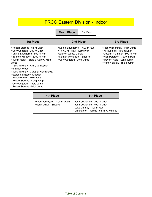### FRCC Eastern Division - Indoor

**Team Place** | 1st Place

| <b>1st Place</b>                                                                                                                                                                                                                                                                                                                                                                                                                     | 2nd Place                                                                                                                                           | <b>3rd Place</b>                                                                                                                                                                       |
|--------------------------------------------------------------------------------------------------------------------------------------------------------------------------------------------------------------------------------------------------------------------------------------------------------------------------------------------------------------------------------------------------------------------------------------|-----------------------------------------------------------------------------------------------------------------------------------------------------|----------------------------------------------------------------------------------------------------------------------------------------------------------------------------------------|
| >Robert Starnes - 55 m Dash<br>>Cory Cegelski - 200 m Dash<br>>Daniel LaLuzerne - 800 m Run<br>>Bennett Krueger - 3200 m Run<br>>800 M Relay - Bialcik, Gerow, Kraft,<br>Wood<br>>1600 m Relay - Kraft, Verheyden,<br>Plummer, Wood<br>>3200 m Relay - Carvajal-Hernandez,<br>Petersen, Massey, Krueger<br>>Randy Bialcik - Pole Vault<br>>Robert Starnes - Long Jump<br>>Cory Cegelski - Triple Jump<br>>Robert Starnes - High Jump | >Daniel LaLuzerne - 1600 m Run<br>>4x160 m Relay - Kornowski,<br>Reigner, Wood, Gerow<br>>Nathon Wendricks - Shot Put<br>>Cory Cegelski - Long Jump | >Alex Walschinski - High Jump<br>>Will Daniels - 400 m Dash<br>>DeJuan Plummer - 800 m Run<br>>Nick Petersen - 3200 m Run<br>>Trevor Wygle - Long Jump<br>>Randy Bialcik - Triple Jump |

| 4th Place                                                | <b>5th Place</b>                                                                                                                 |
|----------------------------------------------------------|----------------------------------------------------------------------------------------------------------------------------------|
| >Noah Verheyden - 400 m Dash<br>>Wyatt O'Neil - Shot Put | >Josh Coulombe - 200 m Dash<br>>Josh Coulombe - 400 m Dash<br>>Luke Duffney - 800 m Run<br>>Christopher Thomas - 55 m H. Hurdles |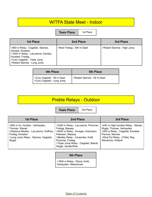#### W/TFA State Meet - Indoor

**Team Place** | 1st Place

| 1st Place                                                                                                                                                                         | 2nd Place                  | 3rd Place                   |
|-----------------------------------------------------------------------------------------------------------------------------------------------------------------------------------|----------------------------|-----------------------------|
| >800 m Relay - Cegelski, Starnes,<br>Daniels, Knoebel<br>  >1600 m Relay - LaLuzerne, Daniels,<br>Knoebel, Freitag<br>SCory Cegelski - Triple Jump<br>>Robert Starnes - Long Jump | >Nick Freitag - 400 m Dash | >Robert Starnes - High Jump |

| 4th Place                                                | <b>5th Place</b>            |
|----------------------------------------------------------|-----------------------------|
| >Cory Cegelski - 55 m Dash<br>>Cory Cegelski - Long Jump | >Robert Starnes - 55 m Dash |

## Preble Relays - Outdoor

**Team Place** | 3rd Place

| <b>1st Place</b>                                                                                                                                                  | 2nd Place                                                                                                                                                                                                                                | 3rd Place                                                                                                                                                                       |
|-------------------------------------------------------------------------------------------------------------------------------------------------------------------|------------------------------------------------------------------------------------------------------------------------------------------------------------------------------------------------------------------------------------------|---------------------------------------------------------------------------------------------------------------------------------------------------------------------------------|
| >900 m Int. Hurdles - Verheyden,<br>Thomas, Wanek<br>>Distance Medley - LaLuzerne, Duffney,<br>Freitag, Knoebel<br>>Long Jump Relay - Starnes, Cegelski,<br>Wygle | >3200 m Relay - LaLuzerne, Plummer,<br>Freitag, Massey<br>>6400 m Relay - Krueger, Holzmann,<br>Petersen, Massey<br>>Medley Relay - Coulombe, Kraft,<br>Plummer, Freitag<br>>Triple Jump Relay - Cegelski, Bialcik,<br>Wygle, VandenPlas | >440 m High Hurdles Relay - Wanek,<br>Wygle, Thomas, Verheyden<br>>400 m Relay - Cegelski, Knoebel,<br>Prevost, Starnes<br>>Shot Put Relay - O'Neil, Ray,<br>Wendricks, Rufledt |

#### **5th Place**

>1600 m Relay - Wood, Kraft, Verheyden, Walschinski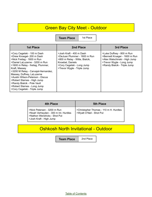## Green Bay City Meet - Outdoor

Т **Team Place** 

| 1st Place |
|-----------|
|-----------|

| <b>1st Place</b>                                                                                                                                                                                                                                                                                                                                                                                                     | 2nd Place                                                                                                                                                                   | 3rd Place                                                                                                                                                |
|----------------------------------------------------------------------------------------------------------------------------------------------------------------------------------------------------------------------------------------------------------------------------------------------------------------------------------------------------------------------------------------------------------------------|-----------------------------------------------------------------------------------------------------------------------------------------------------------------------------|----------------------------------------------------------------------------------------------------------------------------------------------------------|
| >Cory Cegelski - 100 m Dash<br>>Drew Knoegel- 200 m Dash<br>>Nick Freitag - 1600 m Run<br>>Daniel LaLuzerne - 3200 m Run<br>>1600 m Relay - freitag, Plummer,<br>Kraft, Massey<br>>3200 M Relay - Carvajal-Hernandez,<br>Massey, Duffney, LaLuzerne<br>>Austin Wilson-Peterson - Discus<br>>Robert Starnes - High Jump<br>>Randy Bialcik - Pole Vault<br>>Robert Starnes - Long Jump<br>>Cory Cegelski - Triple Jump | >Josh Kraft - 400 m Dash<br>>DeJuan Plummer - 1600 m Run<br>>800 m Relay - Witte, Bialcik,<br>Knoebel, Daniels<br>>Cory Cegelski - Long Jump<br>>Trevor Wygle - Triple Jump | >Luke Duffney - 800 m Run<br>>Bennett Krueger - 1600 m Run<br>>Alex Walschinski - High Jump<br>>Trevor Wygle - Long Jump<br>>Randy Bialcik - Triple Jump |

| 4th Place                                                                                                                      | <b>5th Place</b>                                                   |
|--------------------------------------------------------------------------------------------------------------------------------|--------------------------------------------------------------------|
| >Nick Petersen - 3200 m Run<br>>Noah Verheyden - 300 m Int. Hurdles<br>>Nathon Wendricks - Shot Put<br>>Josh Kraft - High Jump | >Christopher Thomas - 110 m H. Hurdles<br>>Wyatt O'Neil - Shot Put |

## Oshkosh North Invitational - Outdoor

**Team Place** 2nd Place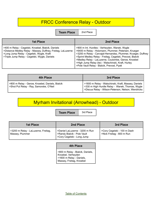## FRCC Conference Relay - Outdoor

**Team Place** | 2nd Place

| 1st Place                                                                                                                                                                                                        | 2nd Place                                                                                                                                                                                                                                                                                                                                                                                         |
|------------------------------------------------------------------------------------------------------------------------------------------------------------------------------------------------------------------|---------------------------------------------------------------------------------------------------------------------------------------------------------------------------------------------------------------------------------------------------------------------------------------------------------------------------------------------------------------------------------------------------|
| >400 m Relay - Cegelski, Knoebel, Bialcik, Daniels<br>>Distance Medley Relay - Massey, Duffney, Freitag, LaLuzerne<br>>Long Jump Relay - Cegelski, Wygle, Kraft<br>>Triple Jump Relay - Cegelski, Wygle, Daniels | >900 m Int. Hurdles - Verheyden, Wanek, Wygle<br>>6400 m Relay - Holzmann, Plummer, Petersen, Krueger<br>>3200 m Relay - Carvajal-Hernandez, Plummer, Krueger, Duffney<br>>Sprint Medley Relay - Freitag, Cegelski, Prevost, Bialcik<br>>Medley Relay - LaLuzerne, Coulombe, Gerow, Knoebel<br>>High Jump Relay (tie) - Walschinski, Kraft, Hurley<br>>Pole Vault Relay - Bialcik, Prevost, Pyatt |

| 4th Place                                                                                  | 3rd Place                                                                                                                                                    |
|--------------------------------------------------------------------------------------------|--------------------------------------------------------------------------------------------------------------------------------------------------------------|
| >800 m Relay - Gerow, Knoebel, Daniels, Bialcik<br>>Shot Put Relay - Ray, Samorske, O'Neil | >1600 m Relay - Walschinski, Kraft, Massey, Daniels<br>>330 m High Hurdle Relay - Wanek, Thomas, Wygle<br>>Discus Relay - Wilson-Peterson, Nelson, Wendricks |

## Myrham Invitational (Arrowhead) - Outdoor

**Team Place** | 3rd Place

| <b>1st Place</b>                                       | 2nd Place                                                                                   | 3rd Place                                                |
|--------------------------------------------------------|---------------------------------------------------------------------------------------------|----------------------------------------------------------|
| >3200 m Relay - LaLuzerne, Freitag,<br>Massey, Plummer | >Daniel LaLuzerne - 3200 m Run<br>>Randy Bialcik - Pole Vault<br>>Cory Cegelski - Long Jump | >Cory Cegelski - 100 m Dash<br>>Nick Freitag - 800 m Run |

#### **4th Place**

>800 m Relay - Bialcik, Daniels, Knoebel, Verheyden >1600 m Relay - Daniels, Massey, Freitag, Knoebel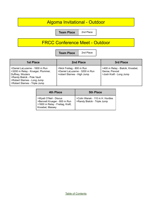### Algoma Invitational - Outdoor

**Team Place** 2nd Place

## FRCC Conference Meet - Outdoor

**Team Place** 2nd Place

| <b>1st Place</b>                                                                                                                                                                       | 2nd Place                                                                                  | 3rd Place                                                                     |
|----------------------------------------------------------------------------------------------------------------------------------------------------------------------------------------|--------------------------------------------------------------------------------------------|-------------------------------------------------------------------------------|
| >Daniel LaLuzerne - 1600 m Run<br>>3200 m Relay - Krueger, Plummer,<br>Duffney, Wouters<br>>Randy Bialcik - Pole Vault<br>>Robert Starnes - Long Jump<br>>Robert Starnes - Triple Jump | >Nick Freitag - 800 m Run<br>>Daniel LaLuzerne - 3200 m Run<br>>robert Starnes - High Jump | >400 m Relay - Bialcik, Knoebel,<br>Gerow, Prevost<br>>Josh Kraft - Long Jump |

| 4th Place                                                                                                      | <b>5th Place</b>                                                |
|----------------------------------------------------------------------------------------------------------------|-----------------------------------------------------------------|
| >Wyatt O'Neil - Discus<br>>Bennett Krueger - 800 m Run<br>  >1600 m Relay - Freitag, Kraft,<br>Knoebel, Massey | >Colin Wanek - 110 m H. Hurdles<br>>Randy Bialcik - Triple Jump |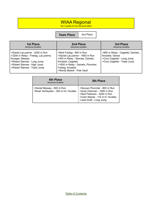#### WIAA Regional

Top 4 qualify for the Sectional Meet

**Team Place** 2nd Place

| <b>1st Place</b><br><b>Sectional Qualifier</b>                                                                                                                                          | 2nd Place<br><b>Sectional Qualifier</b>                                                                                                                                                                      | 3rd Place<br><b>Sectional Qualifier</b>                                                                           |
|-----------------------------------------------------------------------------------------------------------------------------------------------------------------------------------------|--------------------------------------------------------------------------------------------------------------------------------------------------------------------------------------------------------------|-------------------------------------------------------------------------------------------------------------------|
| >Daniel LaLuzerne - 3200 m Run<br>>3200 m Relay - Freitag, LaLuzerne,<br>Krueger, Massey<br>>Robert Starnes - Long Jump<br>>Robert Starnes - High Jump<br>>Robert Starnes - Triple Jump | >Nick Freitag - 800 m Run<br>>Daniel LaLuzerne - 1600 m Run<br>>400 m Relay - Starnes, Daniels,<br>Knoebel, Cegelski<br>>1600 m Relay - Daniels, Plummer,<br>Freitag, Knoebel<br>>Randy Bialcik - Pole Vault | >800 m Relay - Cegelski, Daniels,<br>Knoebel, Gerow<br>>Cory Cegelski - Long Jump<br>>Cory Cegelski - Triple Jump |

| 4th Place<br><b>Sectional Qualifier</b>                            | 5th Place                                                                                                                                              |
|--------------------------------------------------------------------|--------------------------------------------------------------------------------------------------------------------------------------------------------|
| >Daniel Massey - 800 m Run<br>>Noah Verheyden - 300 m Int. Hurdles | >DeJuan Plummer - 800 m Run<br>>Andy Holzman - 1600 m Run<br>>Nick Petersen - 3200 m Run<br>>Colin Wanek - 110 m H. Hurdles<br>>Josh Kraft - Long Jump |